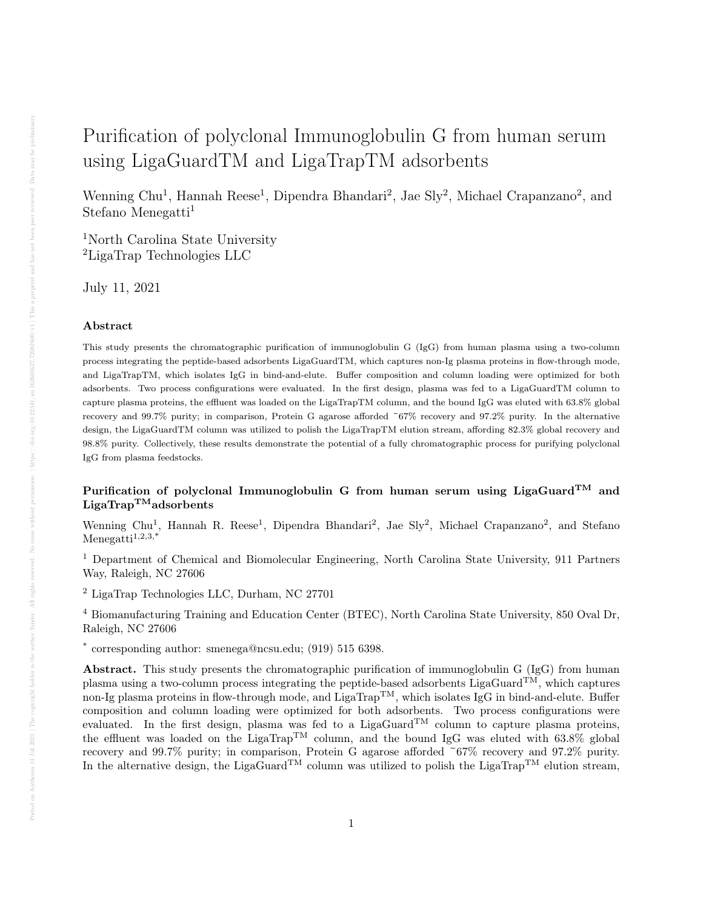# Purification of polyclonal Immunoglobulin G from human serum using LigaGuardTM and LigaTrapTM adsorbents

Wenning Chu<sup>1</sup>, Hannah Reese<sup>1</sup>, Dipendra Bhandari<sup>2</sup>, Jae Sly<sup>2</sup>, Michael Crapanzano<sup>2</sup>, and Stefano Menegatti<sup>1</sup>

<sup>1</sup>North Carolina State University <sup>2</sup>LigaTrap Technologies LLC

July 11, 2021

# Abstract

This study presents the chromatographic purification of immunoglobulin G (IgG) from human plasma using a two-column process integrating the peptide-based adsorbents LigaGuardTM, which captures non-Ig plasma proteins in flow-through mode, and LigaTrapTM, which isolates IgG in bind-and-elute. Buffer composition and column loading were optimized for both adsorbents. Two process configurations were evaluated. In the first design, plasma was fed to a LigaGuardTM column to capture plasma proteins, the effluent was loaded on the LigaTrapTM column, and the bound IgG was eluted with 63.8% global recovery and 99.7% purity; in comparison, Protein G agarose afforded ~67% recovery and 97.2% purity. In the alternative design, the LigaGuardTM column was utilized to polish the LigaTrapTM elution stream, affording 82.3% global recovery and 98.8% purity. Collectively, these results demonstrate the potential of a fully chromatographic process for purifying polyclonal IgG from plasma feedstocks.

# Purification of polyclonal Immunoglobulin G from human serum using LigaGuard<sup>TM</sup> and  $LigaTrap^{TM}adsorbents$

Wenning Chu<sup>1</sup>, Hannah R. Reese<sup>1</sup>, Dipendra Bhandari<sup>2</sup>, Jae Sly<sup>2</sup>, Michael Crapanzano<sup>2</sup>, and Stefano Menegatti<sup>1,2,3,\*</sup>

<sup>1</sup> Department of Chemical and Biomolecular Engineering, North Carolina State University, 911 Partners Way, Raleigh, NC 27606

<sup>2</sup> LigaTrap Technologies LLC, Durham, NC 27701

<sup>4</sup> Biomanufacturing Training and Education Center (BTEC), North Carolina State University, 850 Oval Dr, Raleigh, NC 27606

\* corresponding author: smenega@ncsu.edu; (919) 515 6398.

Abstract. This study presents the chromatographic purification of immunoglobulin G (IgG) from human plasma using a two-column process integrating the peptide-based adsorbents LigaGuard<sup>TM</sup>, which captures non-Ig plasma proteins in flow-through mode, and  $\text{LigaTrap}^{TM}$ , which isolates IgG in bind-and-elute. Buffer composition and column loading were optimized for both adsorbents. Two process configurations were evaluated. In the first design, plasma was fed to a LigaGuard<sup>TM</sup> column to capture plasma proteins, the effluent was loaded on the LigaTrapTM column, and the bound IgG was eluted with 63.8% global recovery and 99.7% purity; in comparison, Protein G agarose afforded ~67% recovery and 97.2% purity. In the alternative design, the LigaGuard<sup>TM</sup> column was utilized to polish the LigaTrap<sup>TM</sup> elution stream,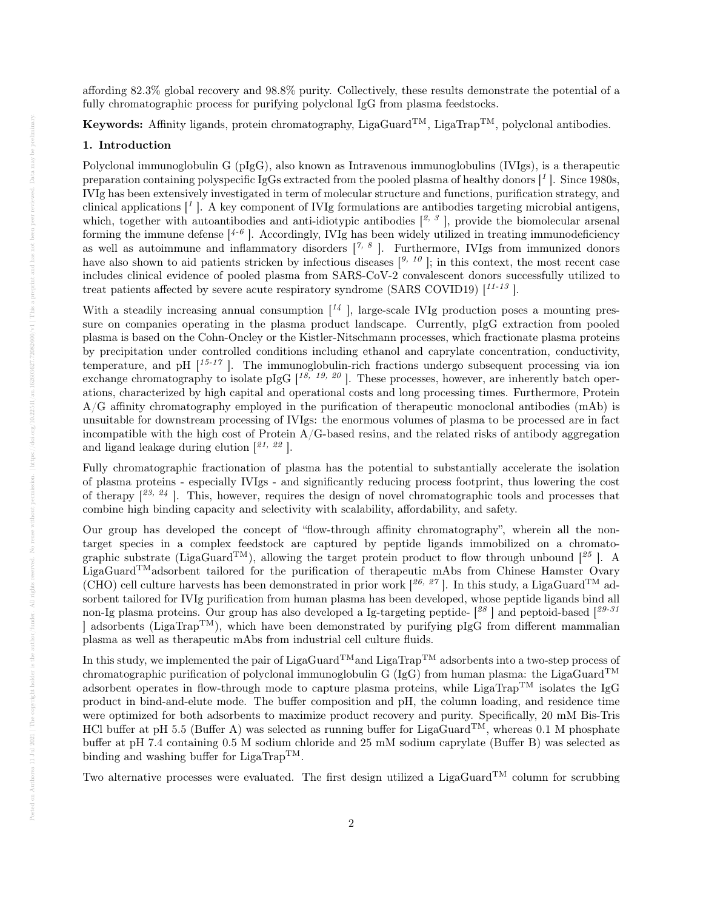affording 82.3% global recovery and 98.8% purity. Collectively, these results demonstrate the potential of a fully chromatographic process for purifying polyclonal IgG from plasma feedstocks.

Keywords: Affinity ligands, protein chromatography, LigaGuard<sup>TM</sup>, LigaTrap<sup>TM</sup>, polyclonal antibodies.

# 1. Introduction

Polyclonal immunoglobulin G (pIgG), also known as Intravenous immunoglobulins (IVIgs), is a therapeutic preparation containing polyspecific IgGs extracted from the pooled plasma of healthy donors  $\lceil \frac{1}{2} \rceil$ . Since 1980s, IVIg has been extensively investigated in term of molecular structure and functions, purification strategy, and clinical applications  $\mathcal{F}^1$ . A key component of IVIg formulations are antibodies targeting microbial antigens, which, together with autoantibodies and anti-idiotypic antibodies  $[2, 3]$ , provide the biomolecular arsenal forming the immune defense  $[4^{-6}]$ . Accordingly, IVIg has been widely utilized in treating immunodeficiency as well as autoimmune and inflammatory disorders  $[7, 8]$ . Furthermore, IVIgs from immunized donors have also shown to aid patients stricken by infectious diseases  $\left[\begin{array}{c}9, 10\\ \end{array}\right]$ ; in this context, the most recent case includes clinical evidence of pooled plasma from SARS-CoV-2 convalescent donors successfully utilized to treat patients affected by severe acute respiratory syndrome (SARS COVID19)  $[1^{11.13}]$ .

With a steadily increasing annual consumption  $\mathbb{I}^4$ , large-scale IVIg production poses a mounting pressure on companies operating in the plasma product landscape. Currently, pIgG extraction from pooled plasma is based on the Cohn-Oncley or the Kistler-Nitschmann processes, which fractionate plasma proteins by precipitation under controlled conditions including ethanol and caprylate concentration, conductivity, temperature, and pH  $\left[1^{5-17}\right]$ . The immunoglobulin-rich fractions undergo subsequent processing via ion exchange chromatography to isolate pIgG  $[18, 19, 20]$ . These processes, however, are inherently batch operations, characterized by high capital and operational costs and long processing times. Furthermore, Protein A/G affinity chromatography employed in the purification of therapeutic monoclonal antibodies (mAb) is unsuitable for downstream processing of IVIgs: the enormous volumes of plasma to be processed are in fact incompatible with the high cost of Protein  $A/G$ -based resins, and the related risks of antibody aggregation and ligand leakage during elution  $[21, 22]$ .

Fully chromatographic fractionation of plasma has the potential to substantially accelerate the isolation of plasma proteins - especially IVIgs - and significantly reducing process footprint, thus lowering the cost of therapy  $[2^{3}, 24]$ . This, however, requires the design of novel chromatographic tools and processes that combine high binding capacity and selectivity with scalability, affordability, and safety.

Our group has developed the concept of "flow-through affinity chromatography", wherein all the nontarget species in a complex feedstock are captured by peptide ligands immobilized on a chromatographic substrate (LigaGuard<sup>TM</sup>), allowing the target protein product to flow through unbound  $[{}^{25}$ ]. A LigaGuardTMadsorbent tailored for the purification of therapeutic mAbs from Chinese Hamster Ovary (CHO) cell culture harvests has been demonstrated in prior work [ $^{26, 27}$ ]. In this study, a LigaGuard<sup>TM</sup> adsorbent tailored for IVIg purification from human plasma has been developed, whose peptide ligands bind all non-Ig plasma proteins. Our group has also developed a Ig-targeting peptide- $\binom{28}{3}$  and peptoid-based  $\binom{29-31}{3}$  $\vert$  adsorbents (LigaTrap<sup>TM</sup>), which have been demonstrated by purifying pIgG from different mammalian plasma as well as therapeutic mAbs from industrial cell culture fluids.

In this study, we implemented the pair of LigaGuard<sup>TM</sup> and LigaTrap<sup>TM</sup> adsorbents into a two-step process of chromatographic purification of polyclonal immunoglobulin G (IgG) from human plasma: the LigaGuard<sup>TM</sup> adsorbent operates in flow-through mode to capture plasma proteins, while LigaTrap<sup>TM</sup> isolates the IgG product in bind-and-elute mode. The buffer composition and pH, the column loading, and residence time were optimized for both adsorbents to maximize product recovery and purity. Specifically, 20 mM Bis-Tris HCl buffer at pH 5.5 (Buffer A) was selected as running buffer for LigaGuard<sup>TM</sup>, whereas 0.1 M phosphate buffer at pH 7.4 containing 0.5 M sodium chloride and 25 mM sodium caprylate (Buffer B) was selected as binding and washing buffer for LigaTrap<sup>TM</sup>.

Two alternative processes were evaluated. The first design utilized a LigaGuard<sup>TM</sup> column for scrubbing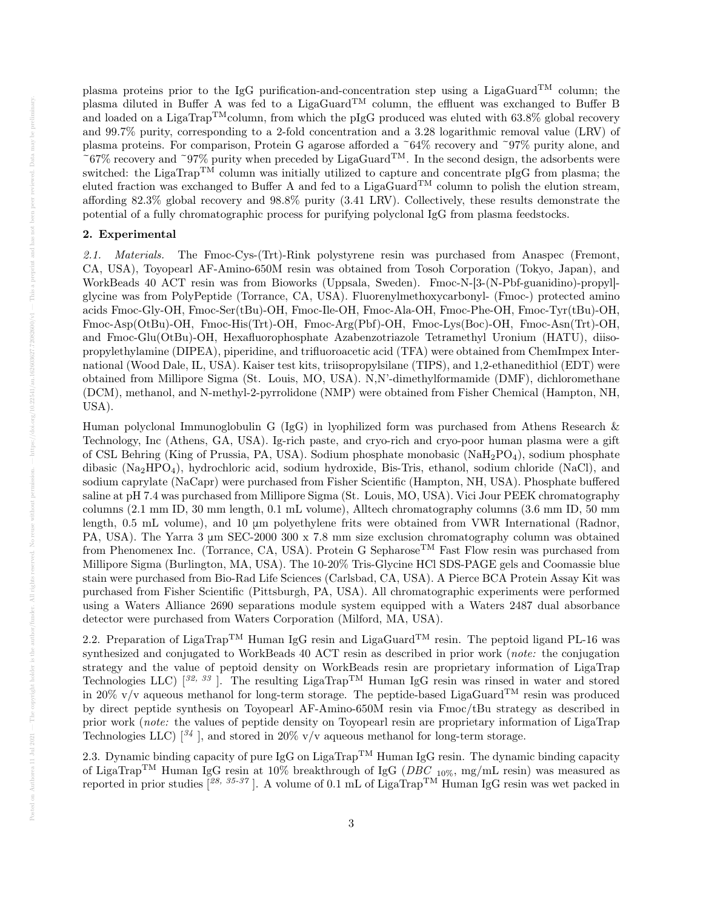plasma proteins prior to the IgG purification-and-concentration step using a LigaGuard<sup>TM</sup> column; the plasma diluted in Buffer A was fed to a LigaGuard<sup>TM</sup> column, the effluent was exchanged to Buffer B and loaded on a LigaTrap<sup>TM</sup>column, from which the pIgG produced was eluted with 63.8% global recovery and 99.7% purity, corresponding to a 2-fold concentration and a 3.28 logarithmic removal value (LRV) of plasma proteins. For comparison, Protein G agarose afforded a ~64% recovery and ~97% purity alone, and  $~67\%$  recovery and  $~97\%$  purity when preceded by LigaGuard<sup>TM</sup>. In the second design, the adsorbents were switched: the LigaTrap<sup>TM</sup> column was initially utilized to capture and concentrate pIgG from plasma; the eluted fraction was exchanged to Buffer A and fed to a LigaGuard<sup>TM</sup> column to polish the elution stream, affording 82.3% global recovery and 98.8% purity (3.41 LRV). Collectively, these results demonstrate the potential of a fully chromatographic process for purifying polyclonal IgG from plasma feedstocks.

# 2. Experimental

2.1. Materials. The Fmoc-Cys-(Trt)-Rink polystyrene resin was purchased from Anaspec (Fremont, CA, USA), Toyopearl AF-Amino-650M resin was obtained from Tosoh Corporation (Tokyo, Japan), and WorkBeads 40 ACT resin was from Bioworks (Uppsala, Sweden). Fmoc-N-[3-(N-Pbf-guanidino)-propyl] glycine was from PolyPeptide (Torrance, CA, USA). Fluorenylmethoxycarbonyl- (Fmoc-) protected amino acids Fmoc-Gly-OH, Fmoc-Ser(tBu)-OH, Fmoc-Ile-OH, Fmoc-Ala-OH, Fmoc-Phe-OH, Fmoc-Tyr(tBu)-OH, Fmoc-Asp(OtBu)-OH, Fmoc-His(Trt)-OH, Fmoc-Arg(Pbf)-OH, Fmoc-Lys(Boc)-OH, Fmoc-Asn(Trt)-OH, and Fmoc-Glu(OtBu)-OH, Hexafluorophosphate Azabenzotriazole Tetramethyl Uronium (HATU), diisopropylethylamine (DIPEA), piperidine, and trifluoroacetic acid (TFA) were obtained from ChemImpex International (Wood Dale, IL, USA). Kaiser test kits, triisopropylsilane (TIPS), and 1,2-ethanedithiol (EDT) were obtained from Millipore Sigma (St. Louis, MO, USA). N,N'-dimethylformamide (DMF), dichloromethane (DCM), methanol, and N-methyl-2-pyrrolidone (NMP) were obtained from Fisher Chemical (Hampton, NH, USA).

Human polyclonal Immunoglobulin G (IgG) in lyophilized form was purchased from Athens Research & Technology, Inc (Athens, GA, USA). Ig-rich paste, and cryo-rich and cryo-poor human plasma were a gift of CSL Behring (King of Prussia, PA, USA). Sodium phosphate monobasic (NaH<sub>2</sub>PO<sub>4</sub>), sodium phosphate dibasic (Na2HPO4), hydrochloric acid, sodium hydroxide, Bis-Tris, ethanol, sodium chloride (NaCl), and sodium caprylate (NaCapr) were purchased from Fisher Scientific (Hampton, NH, USA). Phosphate buffered saline at pH 7.4 was purchased from Millipore Sigma (St. Louis, MO, USA). Vici Jour PEEK chromatography columns (2.1 mm ID, 30 mm length, 0.1 mL volume), Alltech chromatography columns (3.6 mm ID, 50 mm length, 0.5 mL volume), and 10 μm polyethylene frits were obtained from VWR International (Radnor, PA, USA). The Yarra 3 μm SEC-2000 300 x 7.8 mm size exclusion chromatography column was obtained from Phenomenex Inc. (Torrance, CA, USA). Protein G Sepharose<sup>TM</sup> Fast Flow resin was purchased from Millipore Sigma (Burlington, MA, USA). The 10-20% Tris-Glycine HCl SDS-PAGE gels and Coomassie blue stain were purchased from Bio-Rad Life Sciences (Carlsbad, CA, USA). A Pierce BCA Protein Assay Kit was purchased from Fisher Scientific (Pittsburgh, PA, USA). All chromatographic experiments were performed using a Waters Alliance 2690 separations module system equipped with a Waters 2487 dual absorbance detector were purchased from Waters Corporation (Milford, MA, USA).

2.2. Preparation of LigaTrap<sup>TM</sup> Human IgG resin and LigaGuard<sup>TM</sup> resin. The peptoid ligand PL-16 was synthesized and conjugated to WorkBeads 40 ACT resin as described in prior work (note: the conjugation strategy and the value of peptoid density on WorkBeads resin are proprietary information of LigaTrap Technologies LLC)  $[32, 33]$ . The resulting LigaTrap<sup>TM</sup> Human IgG resin was rinsed in water and stored in 20% v/v aqueous methanol for long-term storage. The peptide-based LigaGuard<sup>TM</sup> resin was produced by direct peptide synthesis on Toyopearl AF-Amino-650M resin via Fmoc/tBu strategy as described in prior work (note: the values of peptide density on Toyopearl resin are proprietary information of LigaTrap Technologies LLC)  $\left[\frac{34}{1}\right]$ , and stored in 20% v/v aqueous methanol for long-term storage.

2.3. Dynamic binding capacity of pure IgG on LigaTrap<sup>TM</sup> Human IgG resin. The dynamic binding capacity of LigaTrap<sup>TM</sup> Human IgG resin at 10% breakthrough of IgG (*DBC* <sub>10%</sub>, mg/mL resin) was measured as reported in prior studies  $[^{28, 35\cdot 37}]$ . A volume of 0.1 mL of LigaTrap<sup>TM</sup> Human IgG resin was wet packed in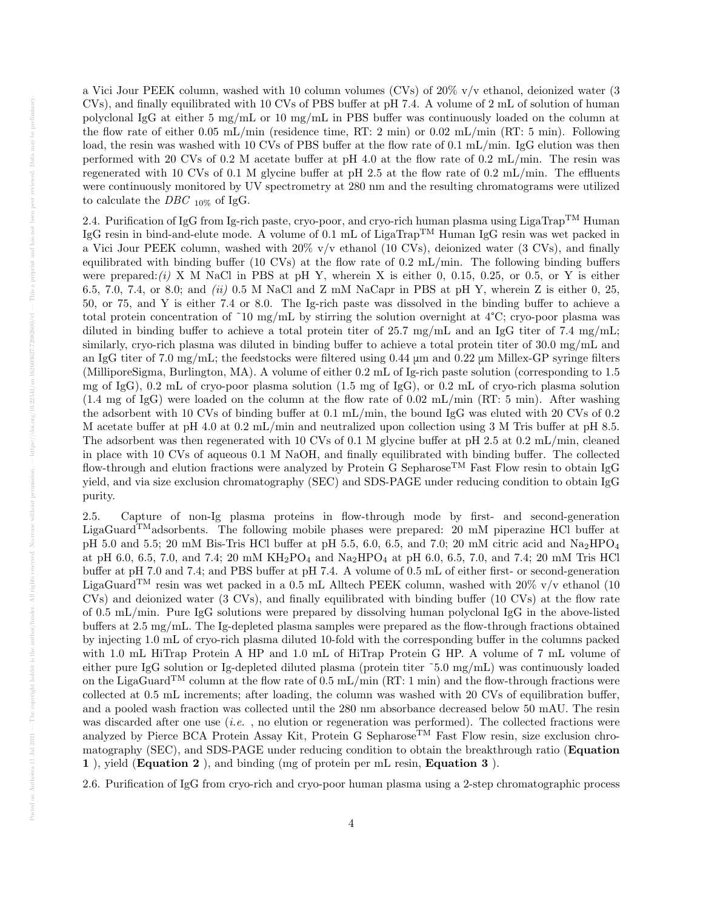a Vici Jour PEEK column, washed with 10 column volumes (CVs) of 20% v/v ethanol, deionized water (3 CVs), and finally equilibrated with 10 CVs of PBS buffer at pH 7.4. A volume of 2 mL of solution of human polyclonal IgG at either 5 mg/mL or 10 mg/mL in PBS buffer was continuously loaded on the column at the flow rate of either 0.05 mL/min (residence time, RT: 2 min) or 0.02 mL/min (RT: 5 min). Following load, the resin was washed with 10 CVs of PBS buffer at the flow rate of 0.1 mL/min. IgG elution was then performed with 20 CVs of 0.2 M acetate buffer at pH 4.0 at the flow rate of 0.2 mL/min. The resin was regenerated with 10 CVs of 0.1 M glycine buffer at pH 2.5 at the flow rate of 0.2 mL/min. The effluents were continuously monitored by UV spectrometry at 280 nm and the resulting chromatograms were utilized to calculate the  $DBC$   $_{10\%}$  of IgG.

2.4. Purification of IgG from Ig-rich paste, cryo-poor, and cryo-rich human plasma using LigaTrap<sup>TM</sup> Human IgG resin in bind-and-elute mode. A volume of 0.1 mL of LigaTrapTM Human IgG resin was wet packed in a Vici Jour PEEK column, washed with 20% v/v ethanol (10 CVs), deionized water (3 CVs), and finally equilibrated with binding buffer (10 CVs) at the flow rate of 0.2 mL/min. The following binding buffers were prepared: $(i)$  X M NaCl in PBS at pH Y, wherein X is either 0, 0.15, 0.25, or 0.5, or Y is either 6.5, 7.0, 7.4, or 8.0; and (ii) 0.5 M NaCl and Z mM NaCapr in PBS at pH Y, wherein Z is either 0, 25, 50, or 75, and Y is either 7.4 or 8.0. The Ig-rich paste was dissolved in the binding buffer to achieve a total protein concentration of ~10 mg/mL by stirring the solution overnight at  $4^{\circ}$ C; cryo-poor plasma was diluted in binding buffer to achieve a total protein titer of 25.7 mg/mL and an IgG titer of 7.4 mg/mL; similarly, cryo-rich plasma was diluted in binding buffer to achieve a total protein titer of 30.0 mg/mL and an IgG titer of 7.0 mg/mL; the feedstocks were filtered using 0.44 μm and 0.22 μm Millex-GP syringe filters (MilliporeSigma, Burlington, MA). A volume of either 0.2 mL of Ig-rich paste solution (corresponding to 1.5 mg of IgG), 0.2 mL of cryo-poor plasma solution (1.5 mg of IgG), or 0.2 mL of cryo-rich plasma solution (1.4 mg of IgG) were loaded on the column at the flow rate of 0.02 mL/min (RT: 5 min). After washing the adsorbent with 10 CVs of binding buffer at 0.1 mL/min, the bound IgG was eluted with 20 CVs of 0.2 M acetate buffer at pH 4.0 at 0.2 mL/min and neutralized upon collection using 3 M Tris buffer at pH 8.5. The adsorbent was then regenerated with 10 CVs of 0.1 M glycine buffer at pH 2.5 at 0.2 mL/min, cleaned in place with 10 CVs of aqueous 0.1 M NaOH, and finally equilibrated with binding buffer. The collected flow-through and elution fractions were analyzed by Protein G Sepharose<sup>TM</sup> Fast Flow resin to obtain IgG yield, and via size exclusion chromatography (SEC) and SDS-PAGE under reducing condition to obtain IgG purity.

2.5. Capture of non-Ig plasma proteins in flow-through mode by first- and second-generation LigaGuard<sup>TM</sup>adsorbents. The following mobile phases were prepared: 20 mM piperazine HCl buffer at pH 5.0 and 5.5; 20 mM Bis-Tris HCl buffer at pH 5.5, 6.0, 6.5, and 7.0; 20 mM citric acid and  $Na<sub>2</sub>HPO<sub>4</sub>$ at pH 6.0, 6.5, 7.0, and 7.4; 20 mM  $KH_2PO_4$  and  $Na_2HPO_4$  at pH 6.0, 6.5, 7.0, and 7.4; 20 mM Tris HCl buffer at pH 7.0 and 7.4; and PBS buffer at pH 7.4. A volume of 0.5 mL of either first- or second-generation LigaGuard<sup>TM</sup> resin was wet packed in a 0.5 mL Alltech PEEK column, washed with 20% v/v ethanol (10) CVs) and deionized water (3 CVs), and finally equilibrated with binding buffer (10 CVs) at the flow rate of 0.5 mL/min. Pure IgG solutions were prepared by dissolving human polyclonal IgG in the above-listed buffers at 2.5 mg/mL. The Ig-depleted plasma samples were prepared as the flow-through fractions obtained by injecting 1.0 mL of cryo-rich plasma diluted 10-fold with the corresponding buffer in the columns packed with 1.0 mL HiTrap Protein A HP and 1.0 mL of HiTrap Protein G HP. A volume of 7 mL volume of either pure IgG solution or Ig-depleted diluted plasma (protein titer ˜5.0 mg/mL) was continuously loaded on the LigaGuard<sup>TM</sup> column at the flow rate of 0.5 mL/min (RT: 1 min) and the flow-through fractions were collected at 0.5 mL increments; after loading, the column was washed with 20 CVs of equilibration buffer, and a pooled wash fraction was collected until the 280 nm absorbance decreased below 50 mAU. The resin was discarded after one use (*i.e.*, no elution or regeneration was performed). The collected fractions were analyzed by Pierce BCA Protein Assay Kit, Protein G Sepharose<sup>TM</sup> Fast Flow resin, size exclusion chromatography (SEC), and SDS-PAGE under reducing condition to obtain the breakthrough ratio (Equation 1 ), yield (Equation 2 ), and binding (mg of protein per mL resin, Equation 3 ).

2.6. Purification of IgG from cryo-rich and cryo-poor human plasma using a 2-step chromatographic process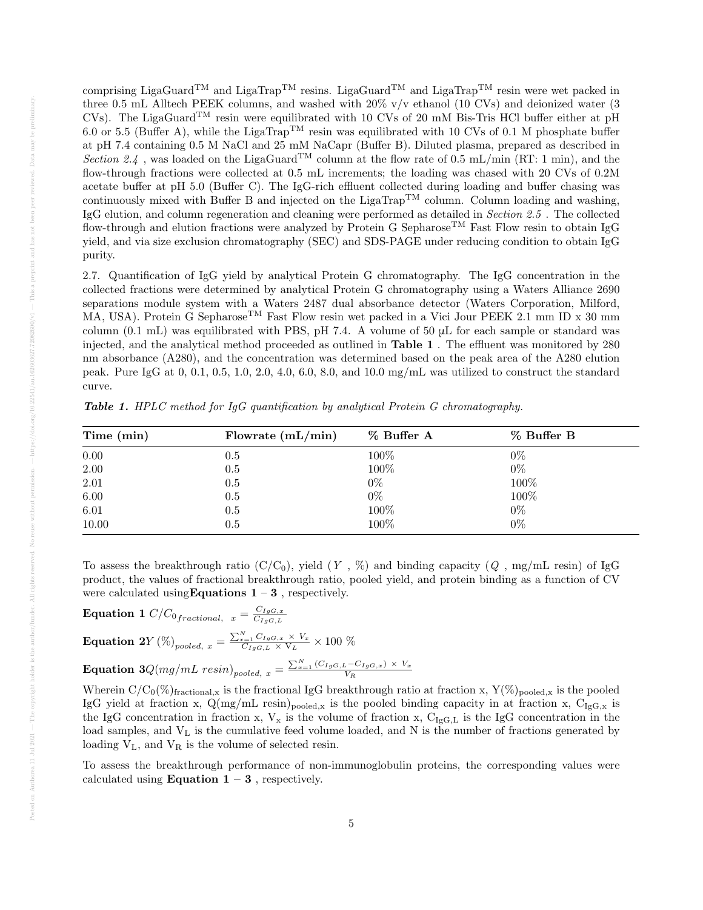comprising LigaGuard<sup>TM</sup> and LigaTrap<sup>TM</sup> resins. LigaGuard<sup>TM</sup> and LigaTrap<sup>TM</sup> resin were wet packed in three 0.5 mL Alltech PEEK columns, and washed with 20% v/v ethanol (10 CVs) and deionized water (3 CVs). The LigaGuard<sup>TM</sup> resin were equilibrated with 10 CVs of 20 mM Bis-Tris HCl buffer either at pH 6.0 or 5.5 (Buffer A), while the LigaTrap<sup>TM</sup> resin was equilibrated with 10 CVs of 0.1 M phosphate buffer at pH 7.4 containing 0.5 M NaCl and 25 mM NaCapr (Buffer B). Diluted plasma, prepared as described in Section 2.4, was loaded on the LigaGuard<sup>TM</sup> column at the flow rate of 0.5 mL/min (RT: 1 min), and the flow-through fractions were collected at 0.5 mL increments; the loading was chased with 20 CVs of 0.2M acetate buffer at pH 5.0 (Buffer C). The IgG-rich effluent collected during loading and buffer chasing was continuously mixed with Buffer B and injected on the LigaTrap<sup>TM</sup> column. Column loading and washing, IgG elution, and column regeneration and cleaning were performed as detailed in Section 2.5 . The collected flow-through and elution fractions were analyzed by Protein G Sepharose<sup>TM</sup> Fast Flow resin to obtain IgG yield, and via size exclusion chromatography (SEC) and SDS-PAGE under reducing condition to obtain IgG purity.

2.7. Quantification of IgG yield by analytical Protein G chromatography. The IgG concentration in the collected fractions were determined by analytical Protein G chromatography using a Waters Alliance 2690 separations module system with a Waters 2487 dual absorbance detector (Waters Corporation, Milford, MA, USA). Protein G Sepharose<sup>TM</sup> Fast Flow resin wet packed in a Vici Jour PEEK 2.1 mm ID x 30 mm column  $(0.1 \text{ mL})$  was equilibrated with PBS, pH 7.4. A volume of 50  $\mu$ L for each sample or standard was injected, and the analytical method proceeded as outlined in Table 1 . The effluent was monitored by 280 nm absorbance (A280), and the concentration was determined based on the peak area of the A280 elution peak. Pure IgG at 0, 0.1, 0.5, 1.0, 2.0, 4.0, 6.0, 8.0, and 10.0 mg/mL was utilized to construct the standard curve.

| Time (min) | Flowrate $(mL/min)$ | % Buffer A | % Buffer B |
|------------|---------------------|------------|------------|
| 0.00       | $0.5\,$             | 100%       | $0\%$      |
| 2.00       | 0.5                 | 100%       | $0\%$      |
| 2.01       | 0.5                 | $0\%$      | 100%       |
| 6.00       | 0.5                 | $0\%$      | 100%       |
| 6.01       | 0.5                 | 100%       | $0\%$      |
| 10.00      | 0.5                 | 100%       | $0\%$      |

Table 1. HPLC method for IgG quantification by analytical Protein G chromatography.

To assess the breakthrough ratio  $(C/C_0)$ , yield  $(Y, \%)$  and binding capacity  $(Q, mg/mL$  resin) of IgG product, the values of fractional breakthrough ratio, pooled yield, and protein binding as a function of CV were calculated using Equations  $1 - 3$ , respectively.

Equation 1 
$$
C/C_{0_{fractional, x}} = \frac{C_{IgG,x}}{C_{IgG,L}}
$$
  
\nEquation 2Y (%)<sub>pooled, x</sub> =  $\frac{\sum_{x=1}^{N} C_{IgG,x} \times V_x}{C_{IgG,L} \times V_L} \times 100 \%$   
\nEquation 3Q(mg/mL resin)<sub>pooled, x</sub> =  $\frac{\sum_{x=1}^{N} (C_{IgG,L} - C_{IgG,x}) \times V_x}{V_R}$ 

Wherein  $C/C_0(\%)_{\text{fractional},x}$  is the fractional IgG breakthrough ratio at fraction x,  $Y(\%)_{\text{pooled},x}$  is the pooled IgG yield at fraction x,  $Q(mg/mL \text{ resin})_{pooled,x}$  is the pooled binding capacity in at fraction x,  $C_{IgG,x}$  is the IgG concentration in fraction x,  $V_x$  is the volume of fraction x,  $C_{IgG,L}$  is the IgG concentration in the load samples, and  $V<sub>L</sub>$  is the cumulative feed volume loaded, and N is the number of fractions generated by loading  $V_L$ , and  $V_R$  is the volume of selected resin.

To assess the breakthrough performance of non-immunoglobulin proteins, the corresponding values were calculated using **Equation 1 – 3**, respectively.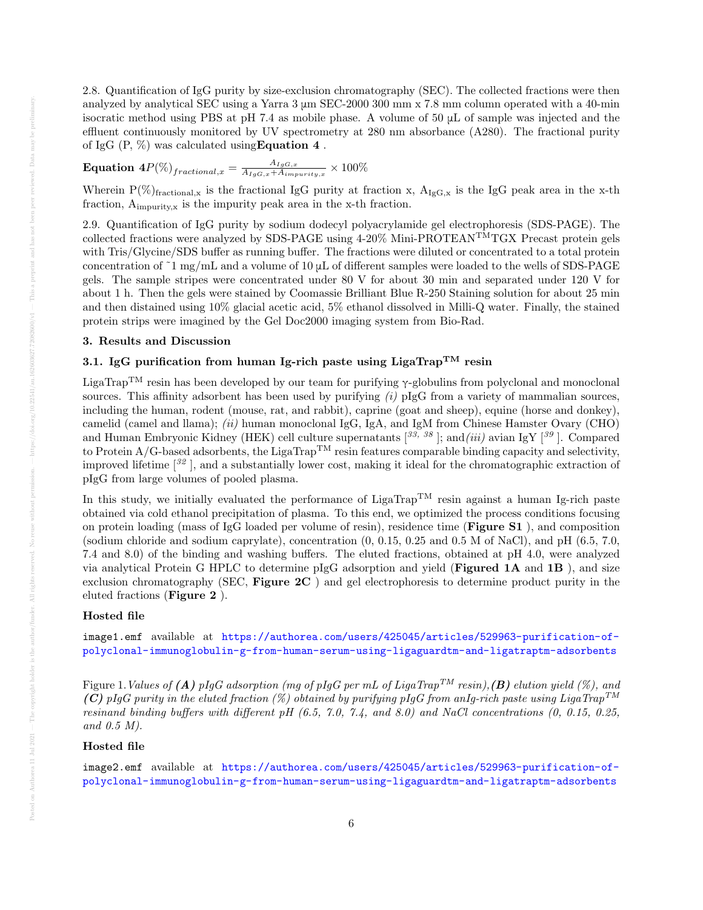2.8. Quantification of IgG purity by size-exclusion chromatography (SEC). The collected fractions were then analyzed by analytical SEC using a Yarra 3 μm SEC-2000 300 mm x 7.8 mm column operated with a 40-min isocratic method using PBS at pH 7.4 as mobile phase. A volume of 50  $\mu$ L of sample was injected and the effluent continuously monitored by UV spectrometry at 280 nm absorbance (A280). The fractional purity of IgG  $(P, \%)$  was calculated using **Equation 4**.

 $\textbf{Equation 4} P(\%)_{fractional, x} = \frac{A_{IgG, x}}{A_{IgG, x} + A_{imx}}$  $\frac{A_{IgG,x}}{A_{IgG,x}+A_{impurity,x}} \times 100\%$ 

Wherein  $P(\%)_{\text{fractional},x}$  is the fractional IgG purity at fraction x,  $A_{\text{IgG},x}$  is the IgG peak area in the x-th fraction, Aimpurity,x is the impurity peak area in the x-th fraction.

2.9. Quantification of IgG purity by sodium dodecyl polyacrylamide gel electrophoresis (SDS-PAGE). The collected fractions were analyzed by SDS-PAGE using  $4-20\%$  Mini-PROTEAN<sup>TM</sup>TGX Precast protein gels with Tris/Glycine/SDS buffer as running buffer. The fractions were diluted or concentrated to a total protein concentration of ~1 mg/mL and a volume of 10  $\mu$ L of different samples were loaded to the wells of SDS-PAGE gels. The sample stripes were concentrated under 80 V for about 30 min and separated under 120 V for about 1 h. Then the gels were stained by Coomassie Brilliant Blue R-250 Staining solution for about 25 min and then distained using 10% glacial acetic acid, 5% ethanol dissolved in Milli-Q water. Finally, the stained protein strips were imagined by the Gel Doc2000 imaging system from Bio-Rad.

## 3. Results and Discussion

# 3.1. IgG purification from human Ig-rich paste using LigaTrap<sup>TM</sup> resin

LigaTrap<sup>TM</sup> resin has been developed by our team for purifying  $\gamma$ -globulins from polyclonal and monoclonal sources. This affinity adsorbent has been used by purifying  $(i)$  pIgG from a variety of mammalian sources, including the human, rodent (mouse, rat, and rabbit), caprine (goat and sheep), equine (horse and donkey), camelid (camel and llama); (ii) human monoclonal IgG, IgA, and IgM from Chinese Hamster Ovary (CHO) and Human Embryonic Kidney (HEK) cell culture supernatants  $[33, 38]$ ; and (iii) avian IgY  $[39]$ . Compared to Protein  $A/G$ -based adsorbents, the LigaTrap<sup>TM</sup> resin features comparable binding capacity and selectivity, improved lifetime  $\lceil 32 \rceil$ , and a substantially lower cost, making it ideal for the chromatographic extraction of pIgG from large volumes of pooled plasma.

In this study, we initially evaluated the performance of LigaTrap<sup>TM</sup> resin against a human Ig-rich paste obtained via cold ethanol precipitation of plasma. To this end, we optimized the process conditions focusing on protein loading (mass of IgG loaded per volume of resin), residence time (Figure S1 ), and composition (sodium chloride and sodium caprylate), concentration (0, 0.15, 0.25 and 0.5 M of NaCl), and pH (6.5, 7.0, 7.4 and 8.0) of the binding and washing buffers. The eluted fractions, obtained at pH 4.0, were analyzed via analytical Protein G HPLC to determine pIgG adsorption and yield (Figured 1A and 1B ), and size exclusion chromatography (SEC, Figure  $2C$ ) and gel electrophoresis to determine product purity in the eluted fractions (Figure 2 ).

# Hosted file

image1.emf available at [https://authorea.com/users/425045/articles/529963-purification-of](https://authorea.com/users/425045/articles/529963-purification-of-polyclonal-immunoglobulin-g-from-human-serum-using-ligaguardtm-and-ligatraptm-adsorbents)[polyclonal-immunoglobulin-g-from-human-serum-using-ligaguardtm-and-ligatraptm-adsorbents](https://authorea.com/users/425045/articles/529963-purification-of-polyclonal-immunoglobulin-g-from-human-serum-using-ligaguardtm-and-ligatraptm-adsorbents)

Figure 1. Values of (A) pIqG adsorption (mg of pIqG per mL of LigaTrap<sup>TM</sup> resin), (B) elution yield (%), and (C) pIgG purity in the eluted fraction (%) obtained by purifying pIgG from anIg-rich paste using LigaTrap<sup>TM</sup> resinand binding buffers with different pH  $(6.5, 7.0, 7.4,$  and  $8.0)$  and NaCl concentrations  $(0, 0.15, 0.25,$ and 0.5 M).

# Hosted file

image2.emf available at [https://authorea.com/users/425045/articles/529963-purification-of](https://authorea.com/users/425045/articles/529963-purification-of-polyclonal-immunoglobulin-g-from-human-serum-using-ligaguardtm-and-ligatraptm-adsorbents)[polyclonal-immunoglobulin-g-from-human-serum-using-ligaguardtm-and-ligatraptm-adsorbents](https://authorea.com/users/425045/articles/529963-purification-of-polyclonal-immunoglobulin-g-from-human-serum-using-ligaguardtm-and-ligatraptm-adsorbents)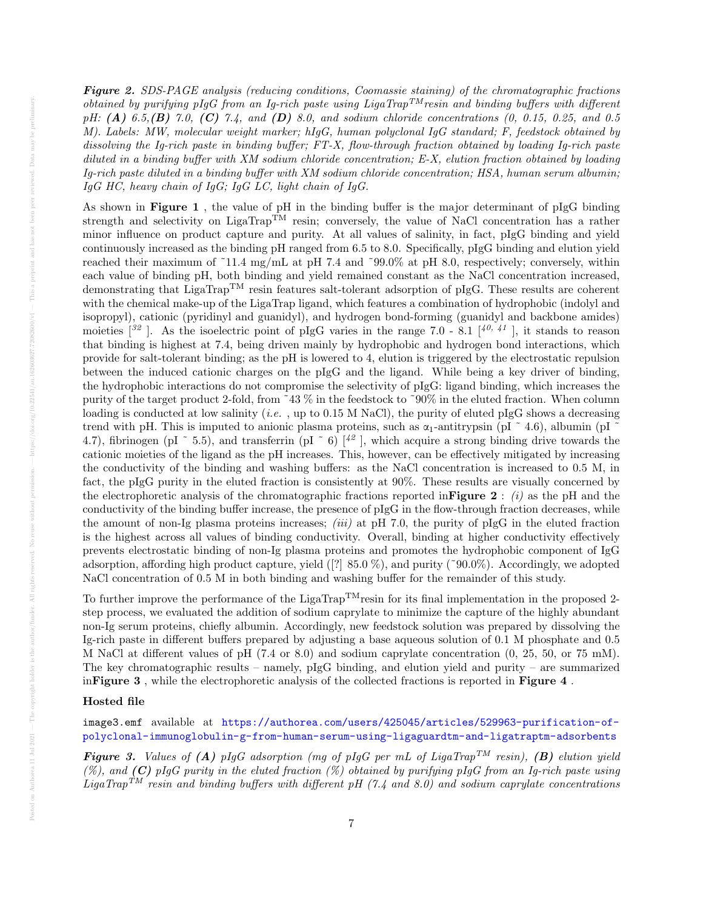Figure 2. SDS-PAGE analysis (reducing conditions, Coomassie staining) of the chromatographic fractions obtained by purifying pIgG from an Ig-rich paste using LigaTrap<sup>TM</sup>resin and binding buffers with different  $pH: (A) 6.5, (B) 7.0, (C) 7.4, and (D) 8.0, and sodium chloride concentrations (0, 0.15, 0.25, and 0.5)$ M). Labels: MW, molecular weight marker; hIgG, human polyclonal IgG standard; F, feedstock obtained by dissolving the Ig-rich paste in binding buffer; FT-X, flow-through fraction obtained by loading Ig-rich paste diluted in a binding buffer with XM sodium chloride concentration; E-X, elution fraction obtained by loading Ig-rich paste diluted in a binding buffer with XM sodium chloride concentration; HSA, human serum albumin;  $IqG$  HC, heavy chain of  $IqG$ ;  $IqG$  LC, light chain of  $IqG$ .

As shown in Figure 1 , the value of pH in the binding buffer is the major determinant of pIgG binding strength and selectivity on LigaTrap<sup>TM</sup> resin; conversely, the value of NaCl concentration has a rather minor influence on product capture and purity. At all values of salinity, in fact, pIgG binding and yield continuously increased as the binding pH ranged from 6.5 to 8.0. Specifically, pIgG binding and elution yield reached their maximum of ~11.4 mg/mL at pH 7.4 and ~99.0% at pH 8.0, respectively; conversely, within each value of binding pH, both binding and yield remained constant as the NaCl concentration increased, demonstrating that LigaTrap<sup>TM</sup> resin features salt-tolerant adsorption of pIgG. These results are coherent with the chemical make-up of the LigaTrap ligand, which features a combination of hydrophobic (indolyl and isopropyl), cationic (pyridinyl and guanidyl), and hydrogen bond-forming (guanidyl and backbone amides) moieties  $\frac{1}{2}$ . As the isoelectric point of pIgG varies in the range 7.0 - 8.1  $\frac{1}{4}$ , it stands to reason that binding is highest at 7.4, being driven mainly by hydrophobic and hydrogen bond interactions, which provide for salt-tolerant binding; as the pH is lowered to 4, elution is triggered by the electrostatic repulsion between the induced cationic charges on the pIgG and the ligand. While being a key driver of binding, the hydrophobic interactions do not compromise the selectivity of pIgG: ligand binding, which increases the purity of the target product 2-fold, from ˜43 % in the feedstock to ˜90% in the eluted fraction. When column loading is conducted at low salinity (*i.e.*, up to  $0.15$  M NaCl), the purity of eluted pIgG shows a decreasing trend with pH. This is imputed to anionic plasma proteins, such as  $\alpha_1$ -antitrypsin (pI  $\alpha$  4.6), albumin (pI 4.7), fibrinogen (pI  $\degree$  5.5), and transferrin (pI  $\degree$  6)  $\frac{1}{2}$ , which acquire a strong binding drive towards the cationic moieties of the ligand as the pH increases. This, however, can be effectively mitigated by increasing the conductivity of the binding and washing buffers: as the NaCl concentration is increased to 0.5 M, in fact, the pIgG purity in the eluted fraction is consistently at 90%. These results are visually concerned by the electrophoretic analysis of the chromatographic fractions reported in Figure 2 : (i) as the pH and the conductivity of the binding buffer increase, the presence of pIgG in the flow-through fraction decreases, while the amount of non-Ig plasma proteins increases; *(iii)* at pH 7.0, the purity of pIgG in the eluted fraction is the highest across all values of binding conductivity. Overall, binding at higher conductivity effectively prevents electrostatic binding of non-Ig plasma proteins and promotes the hydrophobic component of IgG adsorption, affording high product capture, yield ([?] 85.0 %), and purity (˜90.0%). Accordingly, we adopted NaCl concentration of 0.5 M in both binding and washing buffer for the remainder of this study.

To further improve the performance of the LigaTrap<sup>TM</sup>resin for its final implementation in the proposed 2step process, we evaluated the addition of sodium caprylate to minimize the capture of the highly abundant non-Ig serum proteins, chiefly albumin. Accordingly, new feedstock solution was prepared by dissolving the Ig-rich paste in different buffers prepared by adjusting a base aqueous solution of 0.1 M phosphate and 0.5 M NaCl at different values of pH (7.4 or 8.0) and sodium caprylate concentration (0, 25, 50, or 75 mM). The key chromatographic results – namely,  $p\lg G$  binding, and elution yield and purity – are summarized inFigure 3 , while the electrophoretic analysis of the collected fractions is reported in Figure 4 .

# Hosted file

image3.emf available at [https://authorea.com/users/425045/articles/529963-purification-of](https://authorea.com/users/425045/articles/529963-purification-of-polyclonal-immunoglobulin-g-from-human-serum-using-ligaguardtm-and-ligatraptm-adsorbents)[polyclonal-immunoglobulin-g-from-human-serum-using-ligaguardtm-and-ligatraptm-adsorbents](https://authorea.com/users/425045/articles/529963-purification-of-polyclonal-immunoglobulin-g-from-human-serum-using-ligaguardtm-and-ligatraptm-adsorbents)

**Figure 3.** Values of (A) pIgG adsorption (mg of pIgG per mL of LigaTrap<sup>TM</sup> resin), (B) elution yield  $(\%)$ , and (C) pIgG purity in the eluted fraction  $(\%)$  obtained by purifying pIgG from an Ig-rich paste using LigaTrap<sup>TM</sup> resin and binding buffers with different pH (7.4 and 8.0) and sodium caprylate concentrations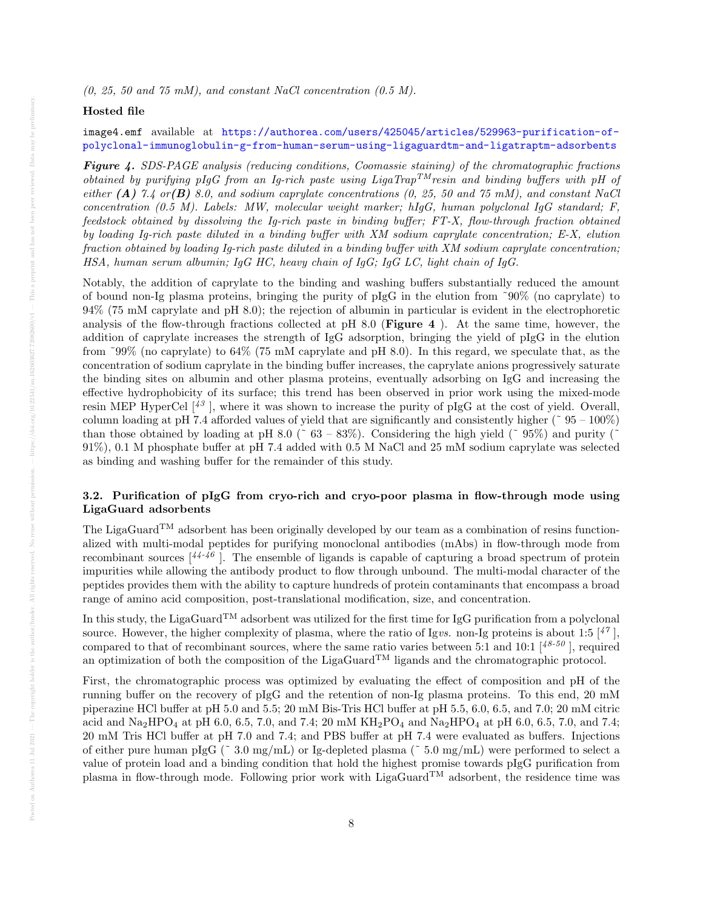# Hosted file

# image4.emf available at [https://authorea.com/users/425045/articles/529963-purification-of](https://authorea.com/users/425045/articles/529963-purification-of-polyclonal-immunoglobulin-g-from-human-serum-using-ligaguardtm-and-ligatraptm-adsorbents)[polyclonal-immunoglobulin-g-from-human-serum-using-ligaguardtm-and-ligatraptm-adsorbents](https://authorea.com/users/425045/articles/529963-purification-of-polyclonal-immunoglobulin-g-from-human-serum-using-ligaguardtm-and-ligatraptm-adsorbents)

**Figure 4.** SDS-PAGE analysis (reducing conditions, Coomassie staining) of the chromatographic fractions obtained by purifying pIgG from an Ig-rich paste using LigaTrap<sup>TM</sup>resin and binding buffers with pH of either (A) 7.4 or (B) 8.0, and sodium caprylate concentrations (0, 25, 50 and 75 mM), and constant NaCl concentration (0.5 M). Labels: MW, molecular weight marker; hIgG, human polyclonal IgG standard; F, feedstock obtained by dissolving the Ig-rich paste in binding buffer; FT-X, flow-through fraction obtained by loading Ig-rich paste diluted in a binding buffer with XM sodium caprylate concentration; E-X, elution fraction obtained by loading Ig-rich paste diluted in a binding buffer with XM sodium caprylate concentration; HSA, human serum albumin; IgG HC, heavy chain of IgG; IgG LC, light chain of IgG.

Notably, the addition of caprylate to the binding and washing buffers substantially reduced the amount of bound non-Ig plasma proteins, bringing the purity of pIgG in the elution from ˜90% (no caprylate) to 94% (75 mM caprylate and pH 8.0); the rejection of albumin in particular is evident in the electrophoretic analysis of the flow-through fractions collected at pH 8.0 (**Figure 4**). At the same time, however, the addition of caprylate increases the strength of IgG adsorption, bringing the yield of pIgG in the elution from ˜99% (no caprylate) to 64% (75 mM caprylate and pH 8.0). In this regard, we speculate that, as the concentration of sodium caprylate in the binding buffer increases, the caprylate anions progressively saturate the binding sites on albumin and other plasma proteins, eventually adsorbing on IgG and increasing the effective hydrophobicity of its surface; this trend has been observed in prior work using the mixed-mode resin MEP HyperCel  $\lceil^{43} \rceil$ , where it was shown to increase the purity of pIgG at the cost of yield. Overall, column loading at pH 7.4 afforded values of yield that are significantly and consistently higher ( $\degree$  95 – 100%) than those obtained by loading at pH 8.0 ( $\degree$  63 – 83%). Considering the high yield ( $\degree$  95%) and purity ( $\degree$ 91%), 0.1 M phosphate buffer at pH 7.4 added with 0.5 M NaCl and 25 mM sodium caprylate was selected as binding and washing buffer for the remainder of this study.

# 3.2. Purification of pIgG from cryo-rich and cryo-poor plasma in flow-through mode using LigaGuard adsorbents

The LigaGuard<sup>TM</sup> adsorbent has been originally developed by our team as a combination of resins functionalized with multi-modal peptides for purifying monoclonal antibodies (mAbs) in flow-through mode from recombinant sources  $\lceil 44-46 \rceil$ . The ensemble of ligands is capable of capturing a broad spectrum of protein impurities while allowing the antibody product to flow through unbound. The multi-modal character of the peptides provides them with the ability to capture hundreds of protein contaminants that encompass a broad range of amino acid composition, post-translational modification, size, and concentration.

In this study, the LigaGuard<sup>TM</sup> adsorbent was utilized for the first time for IgG purification from a polyclonal source. However, the higher complexity of plasma, where the ratio of Igvs. non-Ig proteins is about 1:5  $\binom{47}{1}$ , compared to that of recombinant sources, where the same ratio varies between 5:1 and 10:1  $[48-50]$ , required an optimization of both the composition of the LigaGuard<sup>TM</sup> ligands and the chromatographic protocol.

First, the chromatographic process was optimized by evaluating the effect of composition and pH of the running buffer on the recovery of pIgG and the retention of non-Ig plasma proteins. To this end, 20 mM piperazine HCl buffer at pH 5.0 and 5.5; 20 mM Bis-Tris HCl buffer at pH 5.5, 6.0, 6.5, and 7.0; 20 mM citric acid and  $\text{Na}_2\text{HPO}_4$  at pH 6.0, 6.5, 7.0, and 7.4; 20 mM  $\text{KH}_2\text{PO}_4$  and  $\text{Na}_2\text{HPO}_4$  at pH 6.0, 6.5, 7.0, and 7.4; 20 mM Tris HCl buffer at pH 7.0 and 7.4; and PBS buffer at pH 7.4 were evaluated as buffers. Injections of either pure human pIgG ( $\degree$  3.0 mg/mL) or Ig-depleted plasma ( $\degree$  5.0 mg/mL) were performed to select a value of protein load and a binding condition that hold the highest promise towards pIgG purification from plasma in flow-through mode. Following prior work with LigaGuard<sup>TM</sup> adsorbent, the residence time was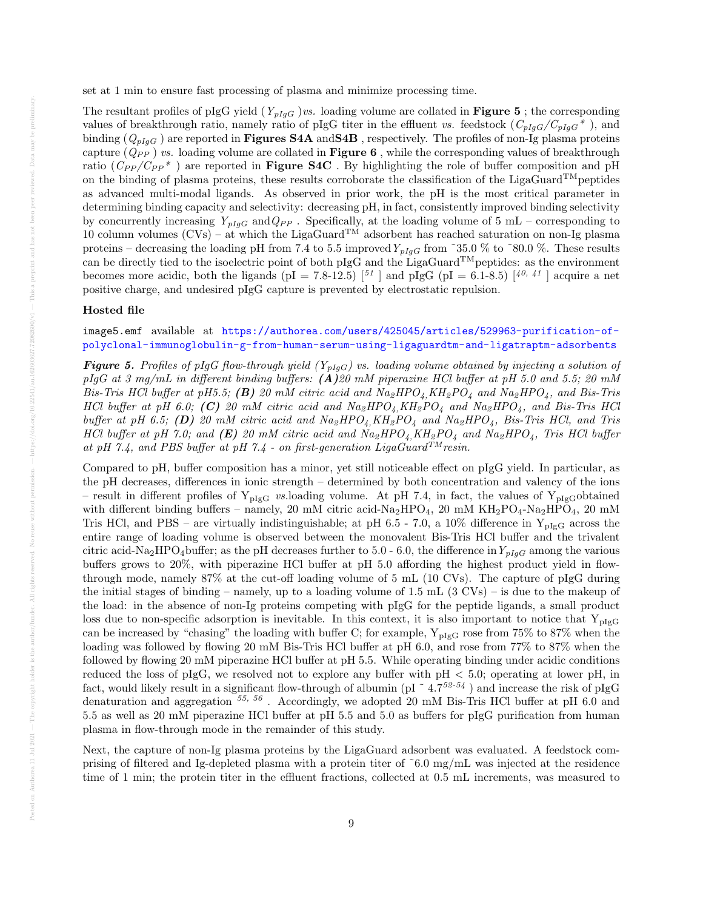set at 1 min to ensure fast processing of plasma and minimize processing time.

The resultant profiles of pIgG yield  $(Y_{pIgG})$ *vs.* loading volume are collated in **Figure 5**; the corresponding values of breakthrough ratio, namely ratio of pIgG titer in the effluent vs. feedstock  $(C_{pIgG}/C_{pIgG}^*)$ , and binding  $(Q_{pIqG})$  are reported in **Figures S4A** and S4B, respectively. The profiles of non-Ig plasma proteins capture  $(Q_{PP})$  vs. loading volume are collated in **Figure 6**, while the corresponding values of breakthrough ratio  $(C_{PP}/C_{PP}^*)$  are reported in **Figure S4C**. By highlighting the role of buffer composition and pH on the binding of plasma proteins, these results corroborate the classification of the LigaGuard<sup>TM</sup>peptides as advanced multi-modal ligands. As observed in prior work, the pH is the most critical parameter in determining binding capacity and selectivity: decreasing pH, in fact, consistently improved binding selectivity by concurrently increasing  $Y_{pIgG}$  and  $Q_{PP}$ . Specifically, at the loading volume of 5 mL – corresponding to 10 column volumes  $(CVs)$  – at which the LigaGuard<sup>TM</sup> adsorbent has reached saturation on non-Ig plasma proteins – decreasing the loading pH from 7.4 to 5.5 improved  $Y_{pIgG}$  from ~35.0 % to ~80.0 %. These results can be directly tied to the isoelectric point of both pIgG and the LigaGuard<sup>TM</sup> peptides: as the environment becomes more acidic, both the ligands (pI = 7.8-12.5)  $\binom{51}{1}$  and pIgG (pI = 6.1-8.5)  $\binom{40, 41}{1}$  acquire a net positive charge, and undesired pIgG capture is prevented by electrostatic repulsion.

#### Hosted file

image5.emf available at [https://authorea.com/users/425045/articles/529963-purification-of](https://authorea.com/users/425045/articles/529963-purification-of-polyclonal-immunoglobulin-g-from-human-serum-using-ligaguardtm-and-ligatraptm-adsorbents)[polyclonal-immunoglobulin-g-from-human-serum-using-ligaguardtm-and-ligatraptm-adsorbents](https://authorea.com/users/425045/articles/529963-purification-of-polyclonal-immunoglobulin-g-from-human-serum-using-ligaguardtm-and-ligatraptm-adsorbents)

**Figure 5.** Profiles of pIgG flow-through yield  $(Y_{pIqG})$  vs. loading volume obtained by injecting a solution of pIgG at 3 mg/mL in different binding buffers:  $(A)$ 20 mM piperazine HCl buffer at pH 5.0 and 5.5; 20 mM Bis-Tris HCl buffer at pH5.5; (B) 20 mM citric acid and  $Na_2HPO_4$ ,  $KH_2PO_4$  and  $Na_2HPO_4$ , and Bis-Tris HCl buffer at pH 6.0; (C) 20 mM citric acid and  $Na_2HPO_4$ , KH<sub>2</sub>PO<sub>4</sub> and  $Na_2HPO_4$ , and Bis-Tris HCl buffer at pH 6.5; (D) 20 mM citric acid and  $Na_2HPO_4$ ,  $KH_2PO_4$  and  $Na_2HPO_4$ , Bis-Tris HCl, and Tris HCl buffer at pH 7.0; and (E) 20 mM citric acid and  $Na_2HPO_4$ ,  $KH_2PO_4$  and  $Na_2HPO_4$ , Tris HCl buffer at pH 7.4, and PBS buffer at pH 7.4 - on first-generation LigaGuard<sup>TM</sup>resin.

Compared to pH, buffer composition has a minor, yet still noticeable effect on pIgG yield. In particular, as the pH decreases, differences in ionic strength – determined by both concentration and valency of the ions – result in different profiles of  $Y_{pIgG}$  vs.loading volume. At pH 7.4, in fact, the values of  $Y_{pIgG}$ obtained with different binding buffers – namely, 20 mM citric acid-Na<sub>2</sub>HPO<sub>4</sub>, 20 mM KH<sub>2</sub>PO<sub>4</sub>-Na<sub>2</sub>HPO<sub>4</sub>, 20 mM Tris HCl, and PBS – are virtually indistinguishable; at pH 6.5 - 7.0, a 10% difference in  $Y_{\text{pIgG}}$  across the entire range of loading volume is observed between the monovalent Bis-Tris HCl buffer and the trivalent citric acid-Na<sub>2</sub>HPO<sub>4</sub>buffer; as the pH decreases further to 5.0 - 6.0, the difference in  $Y_{pIqG}$  among the various buffers grows to 20%, with piperazine HCl buffer at pH 5.0 affording the highest product yield in flowthrough mode, namely 87% at the cut-off loading volume of 5 mL (10 CVs). The capture of pIgG during the initial stages of binding – namely, up to a loading volume of  $1.5$  mL  $(3 \text{ CVs})$  – is due to the makeup of the load: in the absence of non-Ig proteins competing with pIgG for the peptide ligands, a small product loss due to non-specific adsorption is inevitable. In this context, it is also important to notice that  $Y_{pIgG}$ can be increased by "chasing" the loading with buffer C; for example,  $Y_{pIgG}$  rose from 75% to 87% when the loading was followed by flowing 20 mM Bis-Tris HCl buffer at pH 6.0, and rose from 77% to 87% when the followed by flowing 20 mM piperazine HCl buffer at pH 5.5. While operating binding under acidic conditions reduced the loss of pIgG, we resolved not to explore any buffer with pH < 5.0; operating at lower pH, in fact, would likely result in a significant flow-through of albumin (pI  $\degree$  4.752-54) and increase the risk of pIgG denaturation and aggregation  $^{55, 56}$ . Accordingly, we adopted 20 mM Bis-Tris HCl buffer at pH 6.0 and 5.5 as well as 20 mM piperazine HCl buffer at pH 5.5 and 5.0 as buffers for pIgG purification from human plasma in flow-through mode in the remainder of this study.

Next, the capture of non-Ig plasma proteins by the LigaGuard adsorbent was evaluated. A feedstock comprising of filtered and Ig-depleted plasma with a protein titer of ˜6.0 mg/mL was injected at the residence time of 1 min; the protein titer in the effluent fractions, collected at 0.5 mL increments, was measured to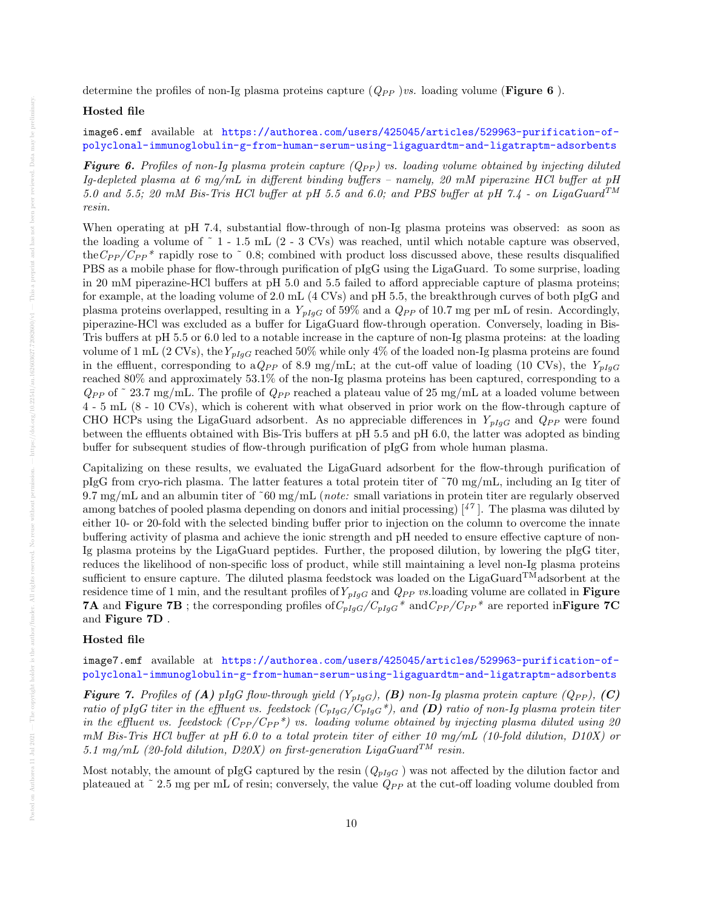determine the profiles of non-Ig plasma proteins capture  $(Q_{PP})$  vs. loading volume (**Figure 6**).

#### Hosted file

# image6.emf available at [https://authorea.com/users/425045/articles/529963-purification-of](https://authorea.com/users/425045/articles/529963-purification-of-polyclonal-immunoglobulin-g-from-human-serum-using-ligaguardtm-and-ligatraptm-adsorbents)[polyclonal-immunoglobulin-g-from-human-serum-using-ligaguardtm-and-ligatraptm-adsorbents](https://authorea.com/users/425045/articles/529963-purification-of-polyclonal-immunoglobulin-g-from-human-serum-using-ligaguardtm-and-ligatraptm-adsorbents)

**Figure 6.** Profiles of non-Iq plasma protein capture  $(Q_{PP})$  vs. loading volume obtained by injecting diluted Ig-depleted plasma at 6 mg/mL in different binding buffers – namely, 20 mM piperazine HCl buffer at  $p$ H 5.0 and 5.5; 20 mM Bis-Tris HCl buffer at pH 5.5 and 6.0; and PBS buffer at pH 7.4 - on LigaGuard<sup>TM</sup> resin.

When operating at pH 7.4, substantial flow-through of non-Ig plasma proteins was observed: as soon as the loading a volume of ˜ 1 - 1.5 mL (2 - 3 CVs) was reached, until which notable capture was observed, the  $C_{PP}/C_{PP}$ <sup>\*</sup> rapidly rose to  $\degree$  0.8; combined with product loss discussed above, these results disqualified PBS as a mobile phase for flow-through purification of pIgG using the LigaGuard. To some surprise, loading in 20 mM piperazine-HCl buffers at pH 5.0 and 5.5 failed to afford appreciable capture of plasma proteins; for example, at the loading volume of 2.0 mL (4 CVs) and pH 5.5, the breakthrough curves of both pIgG and plasma proteins overlapped, resulting in a  $Y_{pIqG}$  of 59% and a  $Q_{PP}$  of 10.7 mg per mL of resin. Accordingly, piperazine-HCl was excluded as a buffer for LigaGuard flow-through operation. Conversely, loading in Bis-Tris buffers at pH 5.5 or 6.0 led to a notable increase in the capture of non-Ig plasma proteins: at the loading volume of 1 mL (2 CVs), the  $Y_{pIqG}$  reached 50% while only 4% of the loaded non-Ig plasma proteins are found in the effluent, corresponding to a  $Q_{PP}$  of 8.9 mg/mL; at the cut-off value of loading (10 CVs), the  $Y_{plqG}$ reached 80% and approximately 53.1% of the non-Ig plasma proteins has been captured, corresponding to a  $Q_{PP}$  of  $\degree$  23.7 mg/mL. The profile of  $Q_{PP}$  reached a plateau value of 25 mg/mL at a loaded volume between 4 - 5 mL (8 - 10 CVs), which is coherent with what observed in prior work on the flow-through capture of CHO HCPs using the LigaGuard adsorbent. As no appreciable differences in  $Y_{pIqG}$  and  $Q_{PP}$  were found between the effluents obtained with Bis-Tris buffers at pH 5.5 and pH 6.0, the latter was adopted as binding buffer for subsequent studies of flow-through purification of pIgG from whole human plasma.

Capitalizing on these results, we evaluated the LigaGuard adsorbent for the flow-through purification of pIgG from cryo-rich plasma. The latter features a total protein titer of ˜70 mg/mL, including an Ig titer of 9.7 mg/mL and an albumin titer of  $\tilde{60}$  mg/mL (*note:* small variations in protein titer are regularly observed among batches of pooled plasma depending on donors and initial processing)  $\binom{47}{1}$ . The plasma was diluted by either 10- or 20-fold with the selected binding buffer prior to injection on the column to overcome the innate buffering activity of plasma and achieve the ionic strength and pH needed to ensure effective capture of non-Ig plasma proteins by the LigaGuard peptides. Further, the proposed dilution, by lowering the pIgG titer, reduces the likelihood of non-specific loss of product, while still maintaining a level non-Ig plasma proteins sufficient to ensure capture. The diluted plasma feedstock was loaded on the LigaGuard<sup>TM</sup>adsorbent at the residence time of 1 min, and the resultant profiles of  $Y_{pIgG}$  and  $Q_{PP}$  vs.loading volume are collated in **Figure 7A** and Figure 7B; the corresponding profiles of  $C_{pIgG}/C_{pIgG}$ <sup>\*</sup> and  $C_{PP}/C_{PP}$ <sup>\*</sup> are reported inFigure 7C and Figure 7D .

## Hosted file

image7.emf available at [https://authorea.com/users/425045/articles/529963-purification-of](https://authorea.com/users/425045/articles/529963-purification-of-polyclonal-immunoglobulin-g-from-human-serum-using-ligaguardtm-and-ligatraptm-adsorbents)[polyclonal-immunoglobulin-g-from-human-serum-using-ligaguardtm-and-ligatraptm-adsorbents](https://authorea.com/users/425045/articles/529963-purification-of-polyclonal-immunoglobulin-g-from-human-serum-using-ligaguardtm-and-ligatraptm-adsorbents)

**Figure 7.** Profiles of (A) pIgG flow-through yield  $(Y_{pIqG})$ , (B) non-Ig plasma protein capture  $(Q_{PP})$ , (C) ratio of pIgG titer in the effluent vs. feedstock  $(C_{pIgG}/C_{pIgG}^*)$ , and  $(D)$  ratio of non-Ig plasma protein titer in the effluent vs. feedstock  $(C_{PP}/C_{PP}^*)$  vs. loading volume obtained by injecting plasma diluted using 20 mM Bis-Tris HCl buffer at pH 6.0 to a total protein titer of either 10 mg/mL (10-fold dilution, D10X) or 5.1 mg/mL (20-fold dilution, D20X) on first-generation LigaGuard<sup>TM</sup> resin.

Most notably, the amount of pIgG captured by the resin  $(Q_{pIgG})$  was not affected by the dilution factor and plateaued at  $\degree$  2.5 mg per mL of resin; conversely, the value  $Q_{PP}$  at the cut-off loading volume doubled from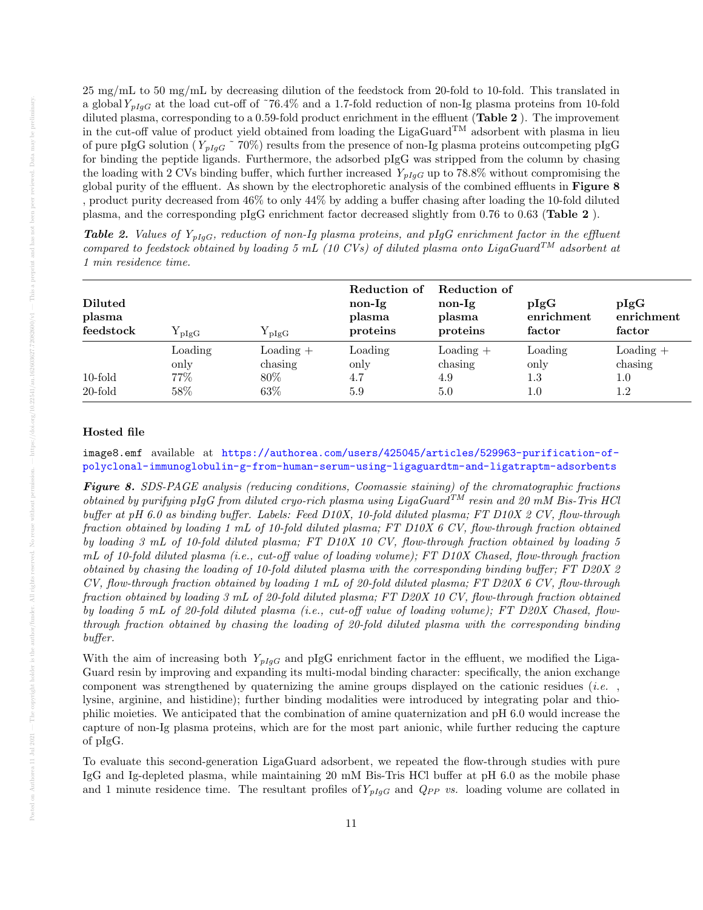25 mg/mL to 50 mg/mL by decreasing dilution of the feedstock from 20-fold to 10-fold. This translated in a global  $Y_{pIqG}$  at the load cut-off of ~76.4% and a 1.7-fold reduction of non-Ig plasma proteins from 10-fold diluted plasma, corresponding to a 0.59-fold product enrichment in the effluent (Table 2 ). The improvement in the cut-off value of product yield obtained from loading the LigaGuard<sup>TM</sup> adsorbent with plasma in lieu of pure pIgG solution ( $Y_{pIgG}$  ~ 70%) results from the presence of non-Ig plasma proteins outcompeting pIgG for binding the peptide ligands. Furthermore, the adsorbed pIgG was stripped from the column by chasing the loading with 2 CVs binding buffer, which further increased  $Y_{pIqG}$  up to 78.8% without compromising the global purity of the effluent. As shown by the electrophoretic analysis of the combined effluents in Figure 8 , product purity decreased from 46% to only 44% by adding a buffer chasing after loading the 10-fold diluted plasma, and the corresponding pIgG enrichment factor decreased slightly from 0.76 to 0.63 (Table 2 ).

| <b>Diluted</b><br>plasma<br>feedstock | $Y_{\rm pIgG}$                  | ${\rm Y}_{\rm pIgG}$                            | Reduction of<br>non-Ig<br>plasma<br>proteins | Reduction of<br>non-Ig<br>plasma<br>proteins | pIgG<br>enrichment<br>factor      | pIgG<br>enrichment<br>factor                |
|---------------------------------------|---------------------------------|-------------------------------------------------|----------------------------------------------|----------------------------------------------|-----------------------------------|---------------------------------------------|
| $10$ -fold<br>20-fold                 | Loading<br>only<br>77\%<br>58\% | $\text{Loading}$ +<br>chasing<br>80\%<br>$63\%$ | Loading<br>only<br>4.7<br>5.9                | $\text{Loading}$ +<br>chasing<br>4.9<br>5.0  | Loading<br>only<br>1.3<br>$1.0\,$ | $\text{Loading}$ +<br>chasing<br>1.0<br>1.2 |

**Table 2.** Values of  $Y_{pIgG}$ , reduction of non-Ig plasma proteins, and pIgG enrichment factor in the effluent compared to feedstock obtained by loading 5 mL (10 CVs) of diluted plasma onto LigaGuard<sup>TM</sup> adsorbent at 1 min residence time.

#### Hosted file

image8.emf available at [https://authorea.com/users/425045/articles/529963-purification-of](https://authorea.com/users/425045/articles/529963-purification-of-polyclonal-immunoglobulin-g-from-human-serum-using-ligaguardtm-and-ligatraptm-adsorbents)[polyclonal-immunoglobulin-g-from-human-serum-using-ligaguardtm-and-ligatraptm-adsorbents](https://authorea.com/users/425045/articles/529963-purification-of-polyclonal-immunoglobulin-g-from-human-serum-using-ligaguardtm-and-ligatraptm-adsorbents)

Figure 8. SDS-PAGE analysis (reducing conditions, Coomassie staining) of the chromatographic fractions obtained by purifying pIgG from diluted cryo-rich plasma using LigaGuard<sup>TM</sup> resin and 20 mM Bis-Tris HCl buffer at pH 6.0 as binding buffer. Labels: Feed D10X, 10-fold diluted plasma; FT D10X 2 CV, flow-through fraction obtained by loading 1 mL of 10-fold diluted plasma; FT D10X 6 CV, flow-through fraction obtained by loading 3 mL of 10-fold diluted plasma; FT D10X 10 CV, flow-through fraction obtained by loading 5 mL of 10-fold diluted plasma (i.e., cut-off value of loading volume); FT D10X Chased, flow-through fraction obtained by chasing the loading of 10-fold diluted plasma with the corresponding binding buffer; FT D20X 2 CV, flow-through fraction obtained by loading 1 mL of 20-fold diluted plasma; FT D20X 6 CV, flow-through fraction obtained by loading 3 mL of 20-fold diluted plasma; FT D20X 10 CV, flow-through fraction obtained by loading 5 mL of 20-fold diluted plasma (i.e., cut-off value of loading volume); FT D20X Chased, flowthrough fraction obtained by chasing the loading of 20-fold diluted plasma with the corresponding binding buffer.

With the aim of increasing both  $Y_{pIgG}$  and pIgG enrichment factor in the effluent, we modified the Liga-Guard resin by improving and expanding its multi-modal binding character: specifically, the anion exchange component was strengthened by quaternizing the amine groups displayed on the cationic residues (*i.e.*, lysine, arginine, and histidine); further binding modalities were introduced by integrating polar and thiophilic moieties. We anticipated that the combination of amine quaternization and pH 6.0 would increase the capture of non-Ig plasma proteins, which are for the most part anionic, while further reducing the capture of pIgG.

To evaluate this second-generation LigaGuard adsorbent, we repeated the flow-through studies with pure IgG and Ig-depleted plasma, while maintaining 20 mM Bis-Tris HCl buffer at pH 6.0 as the mobile phase and 1 minute residence time. The resultant profiles of  $Y_{pIgG}$  and  $Q_{PP}$  vs. loading volume are collated in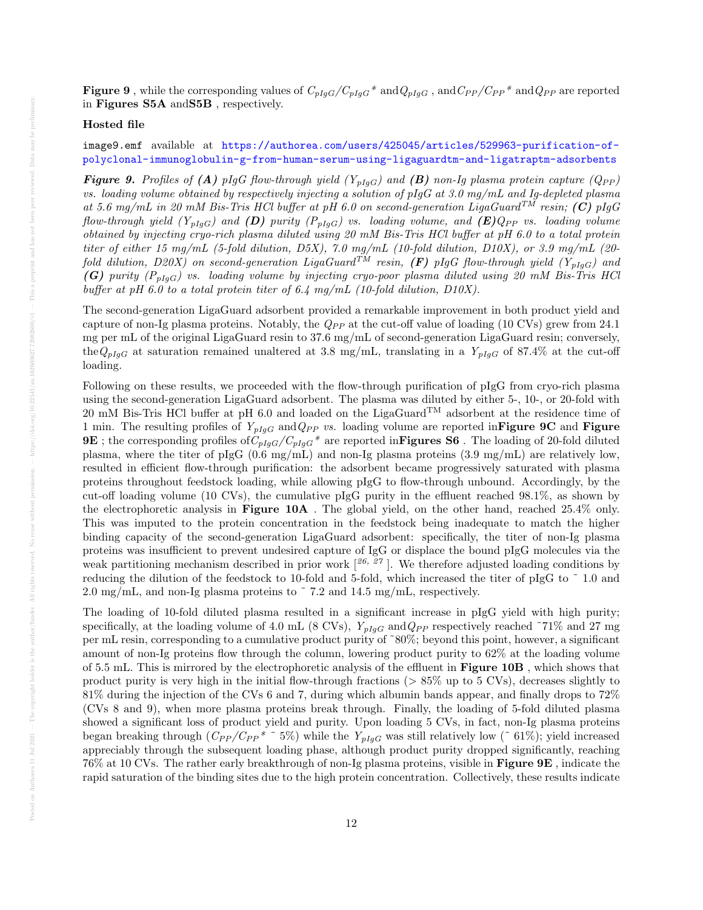**Figure 9**, while the corresponding values of  $C_{pIgG}/C_{pIgG}$ <sup>\*</sup> and $Q_{pIgG}$ , and  $C_{PP}/C_{PP}$ <sup>\*</sup> and  $Q_{PP}$  are reported in Figures S5A andS5B , respectively.

# Hosted file

image9.emf available at [https://authorea.com/users/425045/articles/529963-purification-of](https://authorea.com/users/425045/articles/529963-purification-of-polyclonal-immunoglobulin-g-from-human-serum-using-ligaguardtm-and-ligatraptm-adsorbents)[polyclonal-immunoglobulin-g-from-human-serum-using-ligaguardtm-and-ligatraptm-adsorbents](https://authorea.com/users/425045/articles/529963-purification-of-polyclonal-immunoglobulin-g-from-human-serum-using-ligaguardtm-and-ligatraptm-adsorbents)

**Figure 9.** Profiles of (A) pIgG flow-through yield  $(Y_{pIqG})$  and (B) non-Ig plasma protein capture  $(Q_{PP})$ vs. loading volume obtained by respectively injecting a solution of  $pIgG$  at 3.0 mg/mL and Ig-depleted plasma at 5.6 mg/mL in 20 mM Bis-Tris HCl buffer at pH 6.0 on second-generation LigaGuard<sup>TM</sup> resin; (C) pIgG flow-through yield  $(Y_{pIgG})$  and  $(D)$  purity  $(P_{pIgG})$  vs. loading volume, and  $(E)Q_{PP}$  vs. loading volume obtained by injecting cryo-rich plasma diluted using 20 mM Bis-Tris HCl buffer at pH 6.0 to a total protein titer of either 15 mg/mL (5-fold dilution, D5X), 7.0 mg/mL (10-fold dilution, D10X), or 3.9 mg/mL (20 fold dilution, D20X) on second-generation LigaGuard $^{TM}$  resin,  $(F)$  pIgG flow-through yield  $(Y_{pIgG})$  and (G) purity  $(P_{pIgG})$  vs. loading volume by injecting cryo-poor plasma diluted using 20 mM Bis-Tris HCl buffer at pH 6.0 to a total protein titer of 6.4 mg/mL (10-fold dilution, D10X).

The second-generation LigaGuard adsorbent provided a remarkable improvement in both product yield and capture of non-Ig plasma proteins. Notably, the  $Q_{PP}$  at the cut-off value of loading (10 CVs) grew from 24.1 mg per mL of the original LigaGuard resin to 37.6 mg/mL of second-generation LigaGuard resin; conversely, the $Q_{pIgG}$  at saturation remained unaltered at 3.8 mg/mL, translating in a  $Y_{pIgG}$  of 87.4% at the cut-off loading.

Following on these results, we proceeded with the flow-through purification of pIgG from cryo-rich plasma using the second-generation LigaGuard adsorbent. The plasma was diluted by either 5-, 10-, or 20-fold with 20 mM Bis-Tris HCl buffer at pH 6.0 and loaded on the LigaGuard<sup>TM</sup> adsorbent at the residence time of 1 min. The resulting profiles of  $Y_{pIqG}$  and  $Q_{PP}$  vs. loading volume are reported in Figure 9C and Figure **9E**; the corresponding profiles of  $C_{pIgG}/C_{pIgG}$ <sup>\*</sup> are reported in Figures S6. The loading of 20-fold diluted plasma, where the titer of pIgG (0.6 mg/mL) and non-Ig plasma proteins (3.9 mg/mL) are relatively low, resulted in efficient flow-through purification: the adsorbent became progressively saturated with plasma proteins throughout feedstock loading, while allowing pIgG to flow-through unbound. Accordingly, by the cut-off loading volume (10 CVs), the cumulative pIgG purity in the effluent reached 98.1%, as shown by the electrophoretic analysis in Figure 10A . The global yield, on the other hand, reached 25.4% only. This was imputed to the protein concentration in the feedstock being inadequate to match the higher binding capacity of the second-generation LigaGuard adsorbent: specifically, the titer of non-Ig plasma proteins was insufficient to prevent undesired capture of IgG or displace the bound pIgG molecules via the weak partitioning mechanism described in prior work  $\left[\begin{smallmatrix} 26, 27 \end{smallmatrix}\right]$ . We therefore adjusted loading conditions by reducing the dilution of the feedstock to 10-fold and 5-fold, which increased the titer of pIgG to ˜ 1.0 and 2.0 mg/mL, and non-Ig plasma proteins to ˜ 7.2 and 14.5 mg/mL, respectively.

The loading of 10-fold diluted plasma resulted in a significant increase in pIgG yield with high purity; specifically, at the loading volume of 4.0 mL (8 CVs),  $Y_{plgG}$  and  $Q_{PP}$  respectively reached ~71% and 27 mg per mL resin, corresponding to a cumulative product purity of ˜80%; beyond this point, however, a significant amount of non-Ig proteins flow through the column, lowering product purity to 62% at the loading volume of 5.5 mL. This is mirrored by the electrophoretic analysis of the effluent in Figure 10B , which shows that product purity is very high in the initial flow-through fractions (> 85% up to 5 CVs), decreases slightly to 81% during the injection of the CVs 6 and 7, during which albumin bands appear, and finally drops to 72% (CVs 8 and 9), when more plasma proteins break through. Finally, the loading of 5-fold diluted plasma showed a significant loss of product yield and purity. Upon loading 5 CVs, in fact, non-Ig plasma proteins began breaking through  $(C_{PP}/C_{PP}^*$ <sup>\*</sup> 5%) while the  $Y_{pIqG}$  was still relatively low ( $\degree$  61%); yield increased appreciably through the subsequent loading phase, although product purity dropped significantly, reaching 76% at 10 CVs. The rather early breakthrough of non-Ig plasma proteins, visible in Figure 9E , indicate the rapid saturation of the binding sites due to the high protein concentration. Collectively, these results indicate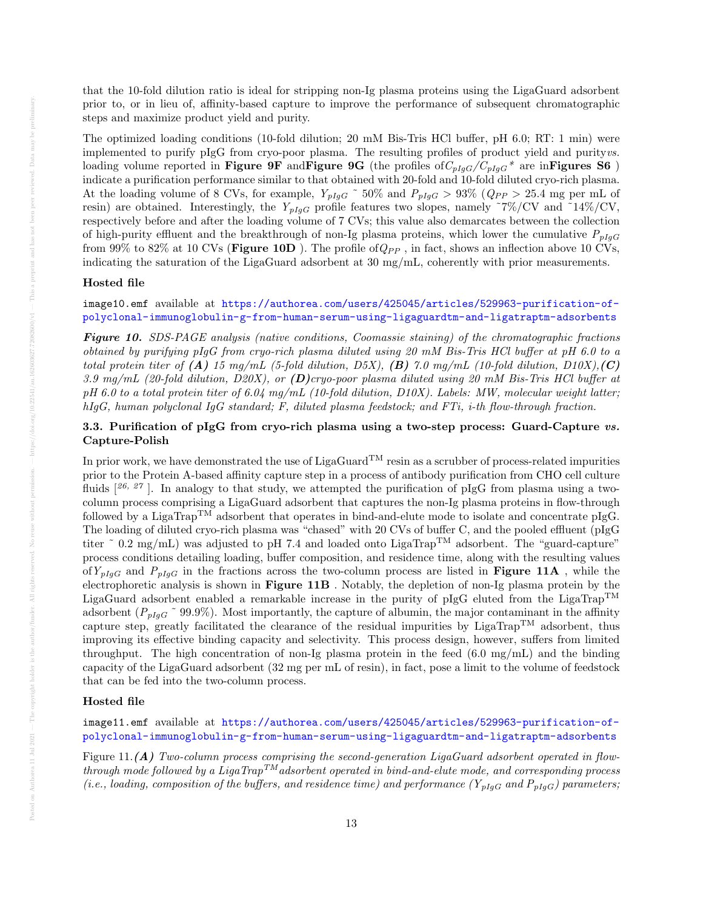that the 10-fold dilution ratio is ideal for stripping non-Ig plasma proteins using the LigaGuard adsorbent prior to, or in lieu of, affinity-based capture to improve the performance of subsequent chromatographic steps and maximize product yield and purity.

The optimized loading conditions (10-fold dilution; 20 mM Bis-Tris HCl buffer, pH 6.0; RT: 1 min) were implemented to purify pIgG from cryo-poor plasma. The resulting profiles of product yield and purityvs. loading volume reported in Figure 9F and Figure 9G (the profiles of  $C_{pIqG}/C_{pIqG}$ <sup>\*</sup> are inFigures S6) indicate a purification performance similar to that obtained with 20-fold and 10-fold diluted cryo-rich plasma. At the loading volume of 8 CVs, for example,  $Y_{pIgG}$  ~ 50% and  $P_{pIgG} > 93\%$  ( $Q_{PP} > 25.4$  mg per mL of resin) are obtained. Interestingly, the  $Y_{pIqG}$  profile features two slopes, namely ~7%/CV and ~14%/CV, respectively before and after the loading volume of 7 CVs; this value also demarcates between the collection of high-purity effluent and the breakthrough of non-Ig plasma proteins, which lower the cumulative  $P_{plgG}$ from 99% to 82% at 10 CVs (Figure 10D). The profile of  $Q_{PP}$ , in fact, shows an inflection above 10 CVs, indicating the saturation of the LigaGuard adsorbent at 30 mg/mL, coherently with prior measurements.

# Hosted file

# image10.emf available at [https://authorea.com/users/425045/articles/529963-purification-of](https://authorea.com/users/425045/articles/529963-purification-of-polyclonal-immunoglobulin-g-from-human-serum-using-ligaguardtm-and-ligatraptm-adsorbents)[polyclonal-immunoglobulin-g-from-human-serum-using-ligaguardtm-and-ligatraptm-adsorbents](https://authorea.com/users/425045/articles/529963-purification-of-polyclonal-immunoglobulin-g-from-human-serum-using-ligaguardtm-and-ligatraptm-adsorbents)

Figure 10. SDS-PAGE analysis (native conditions, Coomassie staining) of the chromatographic fractions obtained by purifying pIgG from cryo-rich plasma diluted using 20 mM Bis-Tris HCl buffer at pH 6.0 to a total protein titer of  $(A)$  15 mg/mL (5-fold dilution, D5X),  $(B)$  7.0 mg/mL (10-fold dilution, D10X),  $(C)$ 3.9 mg/mL (20-fold dilution, D20X), or (D)cryo-poor plasma diluted using 20 mM Bis-Tris HCl buffer at pH 6.0 to a total protein titer of 6.04 mg/mL (10-fold dilution, D10X). Labels: MW, molecular weight latter; hIgG, human polyclonal IgG standard; F, diluted plasma feedstock; and FTi, i-th flow-through fraction.

# 3.3. Purification of pIgG from cryo-rich plasma using a two-step process: Guard-Capture vs. Capture-Polish

In prior work, we have demonstrated the use of LigaGuard<sup>TM</sup> resin as a scrubber of process-related impurities prior to the Protein A-based affinity capture step in a process of antibody purification from CHO cell culture fluids  $[26, 27]$ . In analogy to that study, we attempted the purification of pIgG from plasma using a twocolumn process comprising a LigaGuard adsorbent that captures the non-Ig plasma proteins in flow-through followed by a LigaTrap<sup>TM</sup> adsorbent that operates in bind-and-elute mode to isolate and concentrate pIgG. The loading of diluted cryo-rich plasma was "chased" with 20 CVs of buffer C, and the pooled effluent (pIgG titer  $\degree$  0.2 mg/mL) was adjusted to pH 7.4 and loaded onto LigaTrap<sup>TM</sup> adsorbent. The "guard-capture" process conditions detailing loading, buffer composition, and residence time, along with the resulting values of  $Y_{pIqG}$  and  $P_{pIqG}$  in the fractions across the two-column process are listed in **Figure 11A**, while the electrophoretic analysis is shown in Figure 11B . Notably, the depletion of non-Ig plasma protein by the LigaGuard adsorbent enabled a remarkable increase in the purity of pIgG eluted from the LigaTrap<sup>TM</sup> adsorbent ( $P_{pIgG}$ <sup> $\sim$ </sup> 99.9%). Most importantly, the capture of albumin, the major contaminant in the affinity capture step, greatly facilitated the clearance of the residual impurities by LigaTrap<sup>TM</sup> adsorbent, thus improving its effective binding capacity and selectivity. This process design, however, suffers from limited throughput. The high concentration of non-Ig plasma protein in the feed (6.0 mg/mL) and the binding capacity of the LigaGuard adsorbent (32 mg per mL of resin), in fact, pose a limit to the volume of feedstock that can be fed into the two-column process.

# Hosted file

image11.emf available at [https://authorea.com/users/425045/articles/529963-purification-of](https://authorea.com/users/425045/articles/529963-purification-of-polyclonal-immunoglobulin-g-from-human-serum-using-ligaguardtm-and-ligatraptm-adsorbents)[polyclonal-immunoglobulin-g-from-human-serum-using-ligaguardtm-and-ligatraptm-adsorbents](https://authorea.com/users/425045/articles/529963-purification-of-polyclonal-immunoglobulin-g-from-human-serum-using-ligaguardtm-and-ligatraptm-adsorbents)

Figure 11.(A) Two-column process comprising the second-generation LigaGuard adsorbent operated in flowthrough mode followed by a LigaTrap<sup>TM</sup> adsorbent operated in bind-and-elute mode, and corresponding process (i.e., loading, composition of the buffers, and residence time) and performance  $(Y_{pIaG}$  and  $P_{pIaG})$  parameters;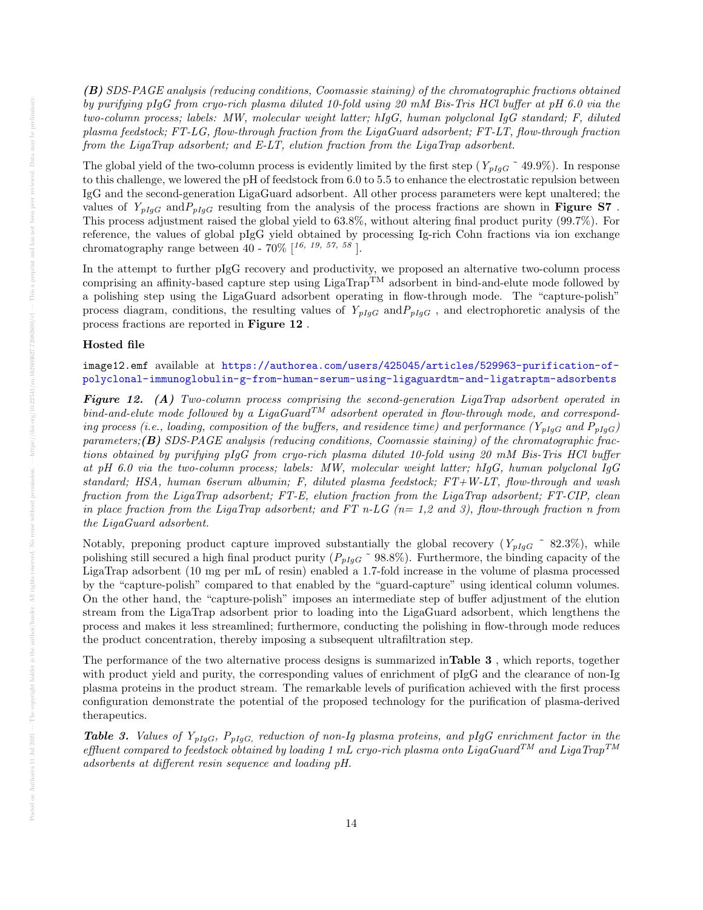(B) SDS-PAGE analysis (reducing conditions, Coomassie staining) of the chromatographic fractions obtained by purifying pIgG from cryo-rich plasma diluted 10-fold using 20 mM Bis-Tris HCl buffer at pH 6.0 via the two-column process; labels: MW, molecular weight latter; hIgG, human polyclonal IgG standard; F, diluted plasma feedstock; FT-LG, flow-through fraction from the LigaGuard adsorbent; FT-LT, flow-through fraction from the LigaTrap adsorbent; and E-LT, elution fraction from the LigaTrap adsorbent.

The global yield of the two-column process is evidently limited by the first step ( $Y_{pIgG}$  ~ 49.9%). In response to this challenge, we lowered the pH of feedstock from 6.0 to 5.5 to enhance the electrostatic repulsion between IgG and the second-generation LigaGuard adsorbent. All other process parameters were kept unaltered; the values of  $Y_{pIqG}$  and  $P_{pIqG}$  resulting from the analysis of the process fractions are shown in **Figure S7**. This process adjustment raised the global yield to 63.8%, without altering final product purity (99.7%). For reference, the values of global pIgG yield obtained by processing Ig-rich Cohn fractions via ion exchange chromatography range between 40 -  $70\%$  [16, 19, 57, 58].

In the attempt to further pIgG recovery and productivity, we proposed an alternative two-column process comprising an affinity-based capture step using  $LigaTrap^{TM}$  adsorbent in bind-and-elute mode followed by a polishing step using the LigaGuard adsorbent operating in flow-through mode. The "capture-polish" process diagram, conditions, the resulting values of  $Y_{pIqG}$  and  $P_{pIqG}$ , and electrophoretic analysis of the process fractions are reported in Figure 12 .

#### Hosted file

image12.emf available at [https://authorea.com/users/425045/articles/529963-purification-of](https://authorea.com/users/425045/articles/529963-purification-of-polyclonal-immunoglobulin-g-from-human-serum-using-ligaguardtm-and-ligatraptm-adsorbents)[polyclonal-immunoglobulin-g-from-human-serum-using-ligaguardtm-and-ligatraptm-adsorbents](https://authorea.com/users/425045/articles/529963-purification-of-polyclonal-immunoglobulin-g-from-human-serum-using-ligaguardtm-and-ligatraptm-adsorbents)

Figure 12. (A) Two-column process comprising the second-generation LigaTrap adsorbent operated in bind-and-elute mode followed by a LigaGuard<sup>TM</sup> adsorbent operated in flow-through mode, and corresponding process (i.e., loading, composition of the buffers, and residence time) and performance ( $Y_{pIgG}$  and  $P_{pIgG}$ ) parameters;(B) SDS-PAGE analysis (reducing conditions, Coomassie staining) of the chromatographic fractions obtained by purifying pIgG from cryo-rich plasma diluted 10-fold using 20 mM Bis-Tris HCl buffer at pH 6.0 via the two-column process; labels: MW, molecular weight latter; hIgG, human polyclonal IgG standard; HSA, human 6serum albumin; F, diluted plasma feedstock; FT+W-LT, flow-through and wash fraction from the LigaTrap adsorbent; FT-E, elution fraction from the LigaTrap adsorbent; FT-CIP, clean in place fraction from the LigaTrap adsorbent; and FT n-LG ( $n=1,2$  and 3), flow-through fraction n from the LigaGuard adsorbent.

Notably, preponing product capture improved substantially the global recovery  $(Y_{pIqG} \t S2.3\%)$ , while polishing still secured a high final product purity  $(P_{pIgG} \text{~} 98.8\%)$ . Furthermore, the binding capacity of the LigaTrap adsorbent (10 mg per mL of resin) enabled a 1.7-fold increase in the volume of plasma processed by the "capture-polish" compared to that enabled by the "guard-capture" using identical column volumes. On the other hand, the "capture-polish" imposes an intermediate step of buffer adjustment of the elution stream from the LigaTrap adsorbent prior to loading into the LigaGuard adsorbent, which lengthens the process and makes it less streamlined; furthermore, conducting the polishing in flow-through mode reduces the product concentration, thereby imposing a subsequent ultrafiltration step.

The performance of the two alternative process designs is summarized inTable 3 , which reports, together with product yield and purity, the corresponding values of enrichment of pIgG and the clearance of non-Ig plasma proteins in the product stream. The remarkable levels of purification achieved with the first process configuration demonstrate the potential of the proposed technology for the purification of plasma-derived therapeutics.

**Table 3.** Values of  $Y_{pIgG}$ ,  $P_{pIgG}$ , reduction of non-Ig plasma proteins, and pIgG enrichment factor in the effluent compared to feedstock obtained by loading 1 mL cryo-rich plasma onto LigaGuard<sup>TM</sup> and LigaTrap<sup>TM</sup> adsorbents at different resin sequence and loading pH.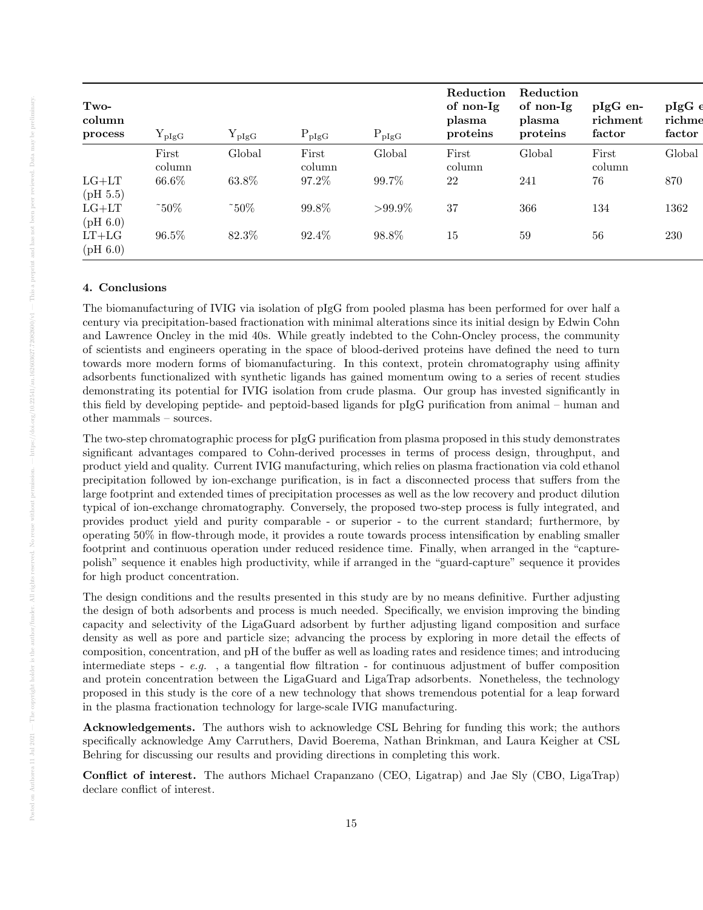| Two-<br>column<br>process | $Y_{\text{pIgG}}$ | ${\rm Y}_{\rm pIgG}$ | $P_{\text{pIgG}}$ | $P_{\text{pIgG}}$ | Reduction<br>of non-Ig<br>plasma<br>proteins | Reduction<br>of non-Ig<br>plasma<br>proteins | $pIgG$ en-<br>richment<br>factor | $pIgG \in$<br>richme<br>factor |
|---------------------------|-------------------|----------------------|-------------------|-------------------|----------------------------------------------|----------------------------------------------|----------------------------------|--------------------------------|
|                           | First<br>column   | Global               | First<br>column   | Global            | First<br>column                              | Global                                       | First<br>column                  | Global                         |
| $LG+LT$<br>(pH 5.5)       | 66.6%             | 63.8%                | 97.2%             | 99.7%             | 22                                           | 241                                          | 76                               | 870                            |
| $LG+LT$<br>(pH 6.0)       | $\degree$ 50%     | $\degree$ 50%        | 99.8%             | $>99.9\%$         | 37                                           | 366                                          | 134                              | 1362                           |
| $LT+LG$<br>(pH 6.0)       | 96.5%             | 82.3%                | 92.4%             | 98.8%             | 15                                           | 59                                           | 56                               | 230                            |

# 4. Conclusions

The biomanufacturing of IVIG via isolation of pIgG from pooled plasma has been performed for over half a century via precipitation-based fractionation with minimal alterations since its initial design by Edwin Cohn and Lawrence Oncley in the mid 40s. While greatly indebted to the Cohn-Oncley process, the community of scientists and engineers operating in the space of blood-derived proteins have defined the need to turn towards more modern forms of biomanufacturing. In this context, protein chromatography using affinity adsorbents functionalized with synthetic ligands has gained momentum owing to a series of recent studies demonstrating its potential for IVIG isolation from crude plasma. Our group has invested significantly in this field by developing peptide- and peptoid-based ligands for pIgG purification from animal – human and other mammals – sources.

The two-step chromatographic process for pIgG purification from plasma proposed in this study demonstrates significant advantages compared to Cohn-derived processes in terms of process design, throughput, and product yield and quality. Current IVIG manufacturing, which relies on plasma fractionation via cold ethanol precipitation followed by ion-exchange purification, is in fact a disconnected process that suffers from the large footprint and extended times of precipitation processes as well as the low recovery and product dilution typical of ion-exchange chromatography. Conversely, the proposed two-step process is fully integrated, and provides product yield and purity comparable - or superior - to the current standard; furthermore, by operating 50% in flow-through mode, it provides a route towards process intensification by enabling smaller footprint and continuous operation under reduced residence time. Finally, when arranged in the "capturepolish" sequence it enables high productivity, while if arranged in the "guard-capture" sequence it provides for high product concentration.

The design conditions and the results presented in this study are by no means definitive. Further adjusting the design of both adsorbents and process is much needed. Specifically, we envision improving the binding capacity and selectivity of the LigaGuard adsorbent by further adjusting ligand composition and surface density as well as pore and particle size; advancing the process by exploring in more detail the effects of composition, concentration, and pH of the buffer as well as loading rates and residence times; and introducing intermediate steps - e.g. , a tangential flow filtration - for continuous adjustment of buffer composition and protein concentration between the LigaGuard and LigaTrap adsorbents. Nonetheless, the technology proposed in this study is the core of a new technology that shows tremendous potential for a leap forward in the plasma fractionation technology for large-scale IVIG manufacturing.

Acknowledgements. The authors wish to acknowledge CSL Behring for funding this work; the authors specifically acknowledge Amy Carruthers, David Boerema, Nathan Brinkman, and Laura Keigher at CSL Behring for discussing our results and providing directions in completing this work.

Conflict of interest. The authors Michael Crapanzano (CEO, Ligatrap) and Jae Sly (CBO, LigaTrap) declare conflict of interest.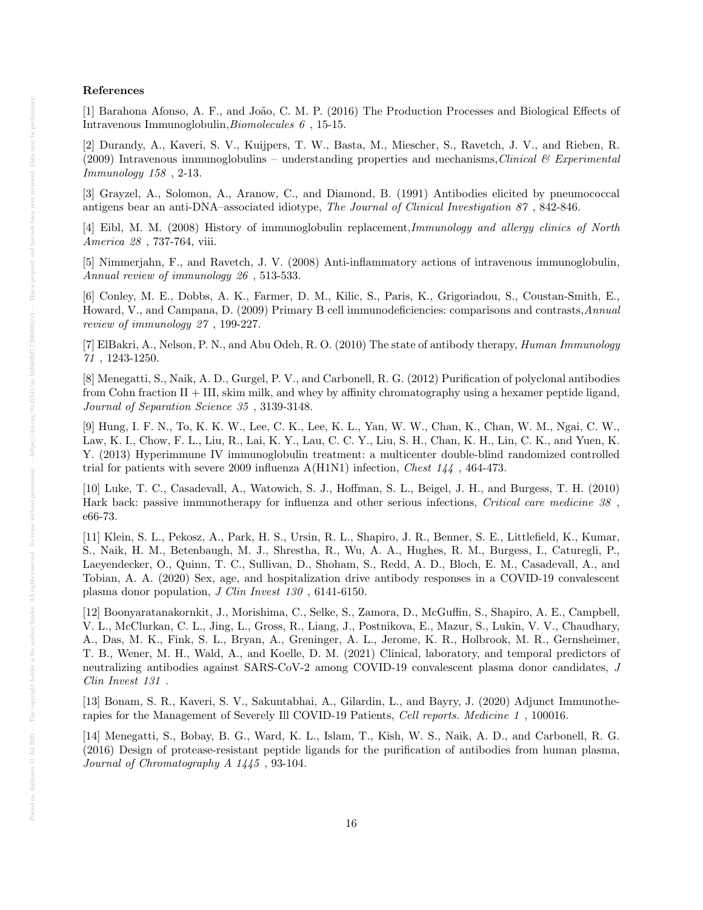# References

[1] Barahona Afonso, A. F., and João, C. M. P. (2016) The Production Processes and Biological Effects of Intravenous Immunoglobulin,Biomolecules 6 , 15-15.

[2] Durandy, A., Kaveri, S. V., Kuijpers, T. W., Basta, M., Miescher, S., Ravetch, J. V., and Rieben, R. (2009) Intravenous immunoglobulins – understanding properties and mechanisms, Clinical & Experimental Immunology 158 , 2-13.

[3] Grayzel, A., Solomon, A., Aranow, C., and Diamond, B. (1991) Antibodies elicited by pneumococcal antigens bear an anti-DNA–associated idiotype, The Journal of Clinical Investigation 87 , 842-846.

[4] Eibl, M. M. (2008) History of immunoglobulin replacement,Immunology and allergy clinics of North America 28 , 737-764, viii.

[5] Nimmerjahn, F., and Ravetch, J. V. (2008) Anti-inflammatory actions of intravenous immunoglobulin, Annual review of immunology 26 , 513-533.

[6] Conley, M. E., Dobbs, A. K., Farmer, D. M., Kilic, S., Paris, K., Grigoriadou, S., Coustan-Smith, E., Howard, V., and Campana, D. (2009) Primary B cell immunodeficiencies: comparisons and contrasts,Annual review of immunology 27 , 199-227.

[7] ElBakri, A., Nelson, P. N., and Abu Odeh, R. O. (2010) The state of antibody therapy, Human Immunology 71 , 1243-1250.

[8] Menegatti, S., Naik, A. D., Gurgel, P. V., and Carbonell, R. G. (2012) Purification of polyclonal antibodies from Cohn fraction II + III, skim milk, and whey by affinity chromatography using a hexamer peptide ligand, Journal of Separation Science 35 , 3139-3148.

[9] Hung, I. F. N., To, K. K. W., Lee, C. K., Lee, K. L., Yan, W. W., Chan, K., Chan, W. M., Ngai, C. W., Law, K. I., Chow, F. L., Liu, R., Lai, K. Y., Lau, C. C. Y., Liu, S. H., Chan, K. H., Lin, C. K., and Yuen, K. Y. (2013) Hyperimmune IV immunoglobulin treatment: a multicenter double-blind randomized controlled trial for patients with severe 2009 influenza  $A(H1N1)$  infection, *Chest 144*, 464-473.

[10] Luke, T. C., Casadevall, A., Watowich, S. J., Hoffman, S. L., Beigel, J. H., and Burgess, T. H. (2010) Hark back: passive immunotherapy for influenza and other serious infections, Critical care medicine 38 , e66-73.

[11] Klein, S. L., Pekosz, A., Park, H. S., Ursin, R. L., Shapiro, J. R., Benner, S. E., Littlefield, K., Kumar, S., Naik, H. M., Betenbaugh, M. J., Shrestha, R., Wu, A. A., Hughes, R. M., Burgess, I., Caturegli, P., Laeyendecker, O., Quinn, T. C., Sullivan, D., Shoham, S., Redd, A. D., Bloch, E. M., Casadevall, A., and Tobian, A. A. (2020) Sex, age, and hospitalization drive antibody responses in a COVID-19 convalescent plasma donor population, J Clin Invest 130 , 6141-6150.

[12] Boonyaratanakornkit, J., Morishima, C., Selke, S., Zamora, D., McGuffin, S., Shapiro, A. E., Campbell, V. L., McClurkan, C. L., Jing, L., Gross, R., Liang, J., Postnikova, E., Mazur, S., Lukin, V. V., Chaudhary, A., Das, M. K., Fink, S. L., Bryan, A., Greninger, A. L., Jerome, K. R., Holbrook, M. R., Gernsheimer, T. B., Wener, M. H., Wald, A., and Koelle, D. M. (2021) Clinical, laboratory, and temporal predictors of neutralizing antibodies against SARS-CoV-2 among COVID-19 convalescent plasma donor candidates, J Clin Invest 131 .

[13] Bonam, S. R., Kaveri, S. V., Sakuntabhai, A., Gilardin, L., and Bayry, J. (2020) Adjunct Immunotherapies for the Management of Severely Ill COVID-19 Patients, Cell reports. Medicine 1 , 100016.

[14] Menegatti, S., Bobay, B. G., Ward, K. L., Islam, T., Kish, W. S., Naik, A. D., and Carbonell, R. G. (2016) Design of protease-resistant peptide ligands for the purification of antibodies from human plasma, Journal of Chromatography A 1445 , 93-104.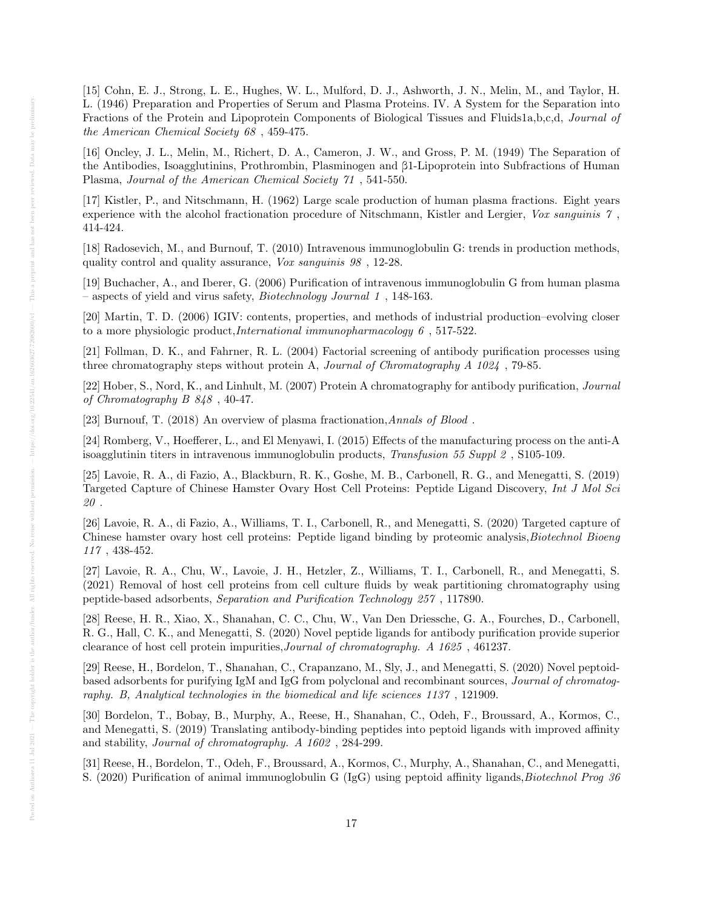[15] Cohn, E. J., Strong, L. E., Hughes, W. L., Mulford, D. J., Ashworth, J. N., Melin, M., and Taylor, H. L. (1946) Preparation and Properties of Serum and Plasma Proteins. IV. A System for the Separation into Fractions of the Protein and Lipoprotein Components of Biological Tissues and Fluids1a,b,c,d, Journal of the American Chemical Society 68 , 459-475.

[16] Oncley, J. L., Melin, M., Richert, D. A., Cameron, J. W., and Gross, P. M. (1949) The Separation of the Antibodies, Isoagglutinins, Prothrombin, Plasminogen and β1-Lipoprotein into Subfractions of Human Plasma, Journal of the American Chemical Society 71 , 541-550.

[17] Kistler, P., and Nitschmann, H. (1962) Large scale production of human plasma fractions. Eight years experience with the alcohol fractionation procedure of Nitschmann, Kistler and Lergier, Vox sanguinis 7 , 414-424.

[18] Radosevich, M., and Burnouf, T. (2010) Intravenous immunoglobulin G: trends in production methods, quality control and quality assurance, Vox sanguinis 98 , 12-28.

[19] Buchacher, A., and Iberer, G. (2006) Purification of intravenous immunoglobulin G from human plasma – aspects of yield and virus safety, Biotechnology Journal 1 , 148-163.

[20] Martin, T. D. (2006) IGIV: contents, properties, and methods of industrial production–evolving closer to a more physiologic product,*International immunopharmacology*  $6$ , 517-522.

[21] Follman, D. K., and Fahrner, R. L. (2004) Factorial screening of antibody purification processes using three chromatography steps without protein A, Journal of Chromatography A 1024 , 79-85.

[22] Hober, S., Nord, K., and Linhult, M. (2007) Protein A chromatography for antibody purification, Journal of Chromatography B 848 , 40-47.

[23] Burnouf, T. (2018) An overview of plasma fractionation,Annals of Blood .

[24] Romberg, V., Hoefferer, L., and El Menyawi, I. (2015) Effects of the manufacturing process on the anti-A isoagglutinin titers in intravenous immunoglobulin products, Transfusion 55 Suppl 2 , S105-109.

[25] Lavoie, R. A., di Fazio, A., Blackburn, R. K., Goshe, M. B., Carbonell, R. G., and Menegatti, S. (2019) Targeted Capture of Chinese Hamster Ovary Host Cell Proteins: Peptide Ligand Discovery, Int J Mol Sci 20 .

[26] Lavoie, R. A., di Fazio, A., Williams, T. I., Carbonell, R., and Menegatti, S. (2020) Targeted capture of Chinese hamster ovary host cell proteins: Peptide ligand binding by proteomic analysis, Biotechnol Bioeng 117 , 438-452.

[27] Lavoie, R. A., Chu, W., Lavoie, J. H., Hetzler, Z., Williams, T. I., Carbonell, R., and Menegatti, S. (2021) Removal of host cell proteins from cell culture fluids by weak partitioning chromatography using peptide-based adsorbents, Separation and Purification Technology 257 , 117890.

[28] Reese, H. R., Xiao, X., Shanahan, C. C., Chu, W., Van Den Driessche, G. A., Fourches, D., Carbonell, R. G., Hall, C. K., and Menegatti, S. (2020) Novel peptide ligands for antibody purification provide superior clearance of host cell protein impurities,Journal of chromatography. A 1625 , 461237.

[29] Reese, H., Bordelon, T., Shanahan, C., Crapanzano, M., Sly, J., and Menegatti, S. (2020) Novel peptoidbased adsorbents for purifying IgM and IgG from polyclonal and recombinant sources, Journal of chromatography. B, Analytical technologies in the biomedical and life sciences 1137 , 121909.

[30] Bordelon, T., Bobay, B., Murphy, A., Reese, H., Shanahan, C., Odeh, F., Broussard, A., Kormos, C., and Menegatti, S. (2019) Translating antibody-binding peptides into peptoid ligands with improved affinity and stability, Journal of chromatography. A 1602 , 284-299.

[31] Reese, H., Bordelon, T., Odeh, F., Broussard, A., Kormos, C., Murphy, A., Shanahan, C., and Menegatti, S. (2020) Purification of animal immunoglobulin G (IgG) using peptoid affinity ligands, Biotechnol Prog 36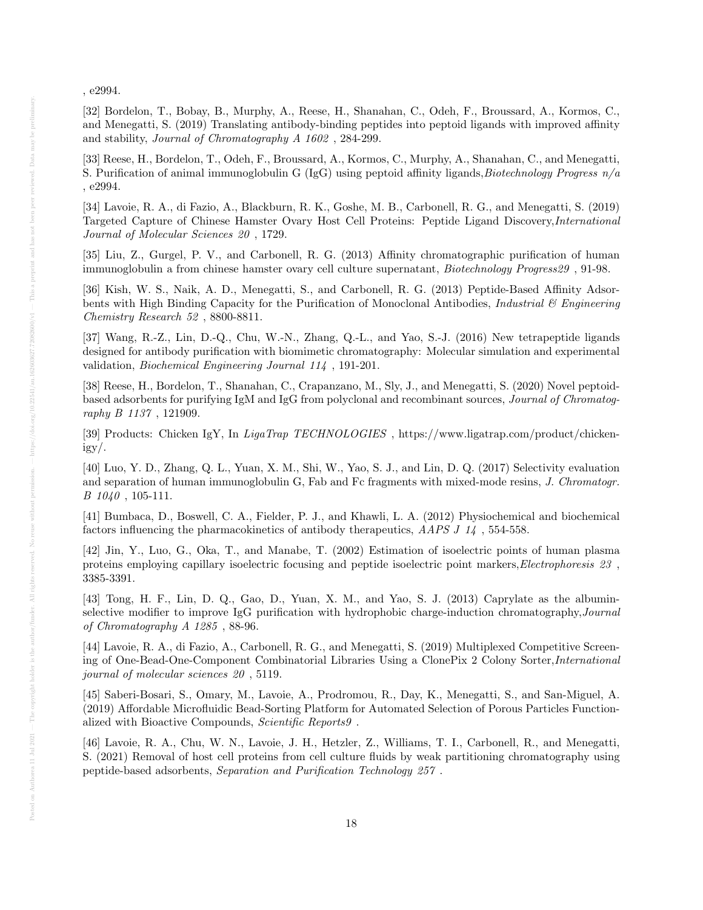, e2994.

[32] Bordelon, T., Bobay, B., Murphy, A., Reese, H., Shanahan, C., Odeh, F., Broussard, A., Kormos, C., and Menegatti, S. (2019) Translating antibody-binding peptides into peptoid ligands with improved affinity and stability, Journal of Chromatography A 1602 , 284-299.

[33] Reese, H., Bordelon, T., Odeh, F., Broussard, A., Kormos, C., Murphy, A., Shanahan, C., and Menegatti, S. Purification of animal immunoglobulin G (IgG) using peptoid affinity ligands, Biotechnology Progress  $n/a$ , e2994.

[34] Lavoie, R. A., di Fazio, A., Blackburn, R. K., Goshe, M. B., Carbonell, R. G., and Menegatti, S. (2019) Targeted Capture of Chinese Hamster Ovary Host Cell Proteins: Peptide Ligand Discovery,International Journal of Molecular Sciences 20 , 1729.

[35] Liu, Z., Gurgel, P. V., and Carbonell, R. G. (2013) Affinity chromatographic purification of human immunoglobulin a from chinese hamster ovary cell culture supernatant, Biotechnology Progress29 , 91-98.

[36] Kish, W. S., Naik, A. D., Menegatti, S., and Carbonell, R. G. (2013) Peptide-Based Affinity Adsorbents with High Binding Capacity for the Purification of Monoclonal Antibodies, *Industrial*  $\&$  Engineering Chemistry Research 52 , 8800-8811.

[37] Wang, R.-Z., Lin, D.-Q., Chu, W.-N., Zhang, Q.-L., and Yao, S.-J. (2016) New tetrapeptide ligands designed for antibody purification with biomimetic chromatography: Molecular simulation and experimental validation, Biochemical Engineering Journal 114 , 191-201.

[38] Reese, H., Bordelon, T., Shanahan, C., Crapanzano, M., Sly, J., and Menegatti, S. (2020) Novel peptoidbased adsorbents for purifying IgM and IgG from polyclonal and recombinant sources, Journal of Chromatography B 1137 , 121909.

[39] Products: Chicken IgY, In LigaTrap TECHNOLOGIES , https://www.ligatrap.com/product/chickenigy/.

[40] Luo, Y. D., Zhang, Q. L., Yuan, X. M., Shi, W., Yao, S. J., and Lin, D. Q. (2017) Selectivity evaluation and separation of human immunoglobulin G, Fab and Fc fragments with mixed-mode resins, J. Chromatogr.  $B$  1040, 105-111.

[41] Bumbaca, D., Boswell, C. A., Fielder, P. J., and Khawli, L. A. (2012) Physiochemical and biochemical factors influencing the pharmacokinetics of antibody therapeutics, AAPS J 14 , 554-558.

[42] Jin, Y., Luo, G., Oka, T., and Manabe, T. (2002) Estimation of isoelectric points of human plasma proteins employing capillary isoelectric focusing and peptide isoelectric point markers,Electrophoresis 23 , 3385-3391.

[43] Tong, H. F., Lin, D. Q., Gao, D., Yuan, X. M., and Yao, S. J. (2013) Caprylate as the albuminselective modifier to improve IgG purification with hydrophobic charge-induction chromatography, Journal of Chromatography A 1285 , 88-96.

[44] Lavoie, R. A., di Fazio, A., Carbonell, R. G., and Menegatti, S. (2019) Multiplexed Competitive Screening of One-Bead-One-Component Combinatorial Libraries Using a ClonePix 2 Colony Sorter,International journal of molecular sciences 20 , 5119.

[45] Saberi-Bosari, S., Omary, M., Lavoie, A., Prodromou, R., Day, K., Menegatti, S., and San-Miguel, A. (2019) Affordable Microfluidic Bead-Sorting Platform for Automated Selection of Porous Particles Functionalized with Bioactive Compounds, Scientific Reports9 .

[46] Lavoie, R. A., Chu, W. N., Lavoie, J. H., Hetzler, Z., Williams, T. I., Carbonell, R., and Menegatti, S. (2021) Removal of host cell proteins from cell culture fluids by weak partitioning chromatography using peptide-based adsorbents, Separation and Purification Technology 257 .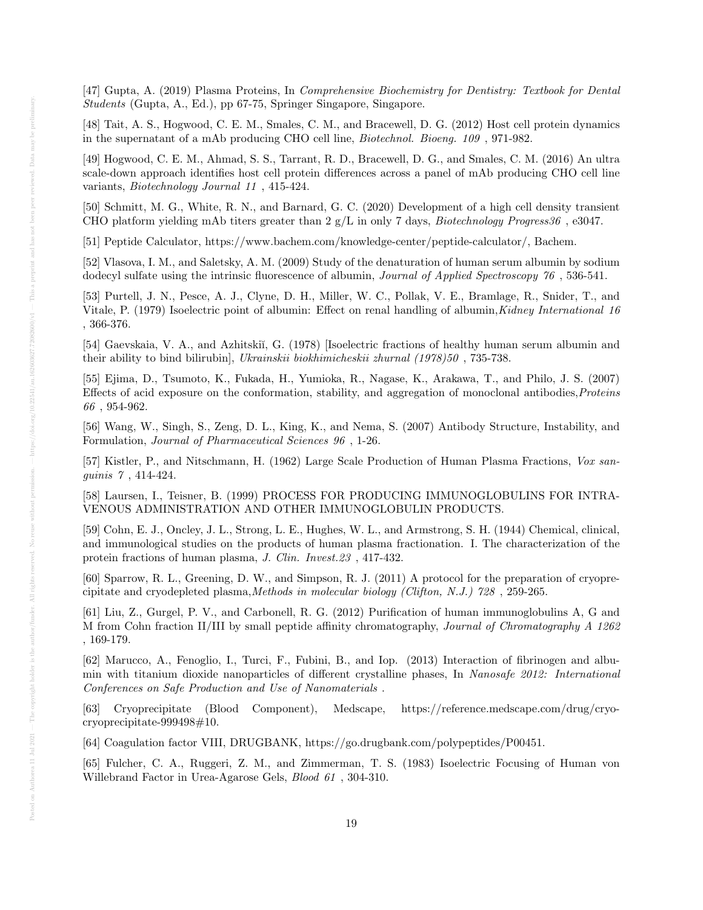[47] Gupta, A. (2019) Plasma Proteins, In Comprehensive Biochemistry for Dentistry: Textbook for Dental Students (Gupta, A., Ed.), pp 67-75, Springer Singapore, Singapore.

[48] Tait, A. S., Hogwood, C. E. M., Smales, C. M., and Bracewell, D. G. (2012) Host cell protein dynamics in the supernatant of a mAb producing CHO cell line, Biotechnol. Bioeng. 109 , 971-982.

[49] Hogwood, C. E. M., Ahmad, S. S., Tarrant, R. D., Bracewell, D. G., and Smales, C. M. (2016) An ultra scale-down approach identifies host cell protein differences across a panel of mAb producing CHO cell line variants, Biotechnology Journal 11 , 415-424.

[50] Schmitt, M. G., White, R. N., and Barnard, G. C. (2020) Development of a high cell density transient CHO platform yielding mAb titers greater than  $2 g/L$  in only 7 days, *Biotechnology Progress36*, e3047.

[51] Peptide Calculator, https://www.bachem.com/knowledge-center/peptide-calculator/, Bachem.

[52] Vlasova, I. M., and Saletsky, A. M. (2009) Study of the denaturation of human serum albumin by sodium dodecyl sulfate using the intrinsic fluorescence of albumin, *Journal of Applied Spectroscopy* 76, 536-541.

[53] Purtell, J. N., Pesce, A. J., Clyne, D. H., Miller, W. C., Pollak, V. E., Bramlage, R., Snider, T., and Vitale, P. (1979) Isoelectric point of albumin: Effect on renal handling of albumin, Kidney International 16 , 366-376.

[54] Gaevskaia, V. A., and Azhitskiı̆, G. (1978) [Isoelectric fractions of healthy human serum albumin and their ability to bind bilirubin], Ukrainskii biokhimicheskii zhurnal (1978)50 , 735-738.

[55] Ejima, D., Tsumoto, K., Fukada, H., Yumioka, R., Nagase, K., Arakawa, T., and Philo, J. S. (2007) Effects of acid exposure on the conformation, stability, and aggregation of monoclonal antibodies,Proteins 66 , 954-962.

[56] Wang, W., Singh, S., Zeng, D. L., King, K., and Nema, S. (2007) Antibody Structure, Instability, and Formulation, Journal of Pharmaceutical Sciences 96 , 1-26.

[57] Kistler, P., and Nitschmann, H. (1962) Large Scale Production of Human Plasma Fractions, Vox sanguinis 7 , 414-424.

[58] Laursen, I., Teisner, B. (1999) PROCESS FOR PRODUCING IMMUNOGLOBULINS FOR INTRA-VENOUS ADMINISTRATION AND OTHER IMMUNOGLOBULIN PRODUCTS.

[59] Cohn, E. J., Oncley, J. L., Strong, L. E., Hughes, W. L., and Armstrong, S. H. (1944) Chemical, clinical, and immunological studies on the products of human plasma fractionation. I. The characterization of the protein fractions of human plasma, J. Clin. Invest.23 , 417-432.

[60] Sparrow, R. L., Greening, D. W., and Simpson, R. J. (2011) A protocol for the preparation of cryoprecipitate and cryodepleted plasma,Methods in molecular biology (Clifton, N.J.) 728 , 259-265.

[61] Liu, Z., Gurgel, P. V., and Carbonell, R. G. (2012) Purification of human immunoglobulins A, G and M from Cohn fraction II/III by small peptide affinity chromatography, Journal of Chromatography A 1262 , 169-179.

[62] Marucco, A., Fenoglio, I., Turci, F., Fubini, B., and Iop. (2013) Interaction of fibrinogen and albumin with titanium dioxide nanoparticles of different crystalline phases, In Nanosafe 2012: International Conferences on Safe Production and Use of Nanomaterials .

[63] Cryoprecipitate (Blood Component), Medscape, https://reference.medscape.com/drug/cryocryoprecipitate-999498#10.

[64] Coagulation factor VIII, DRUGBANK, https://go.drugbank.com/polypeptides/P00451.

[65] Fulcher, C. A., Ruggeri, Z. M., and Zimmerman, T. S. (1983) Isoelectric Focusing of Human von Willebrand Factor in Urea-Agarose Gels, Blood 61 , 304-310.